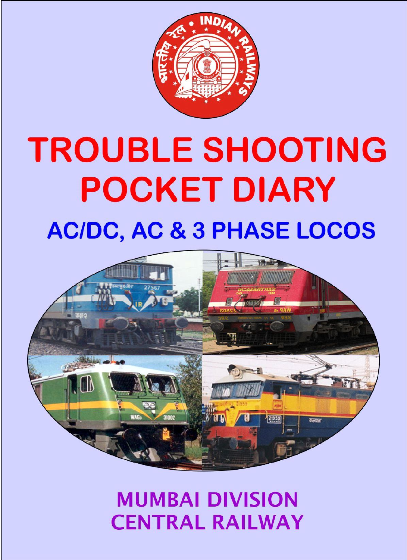

# **TROUBLE SHOOTING POCKET DIARY AC/DC, AC & 3 PHASE LOCOS**



# **MUMBAI DIVISION CENTRAL RAILWAY**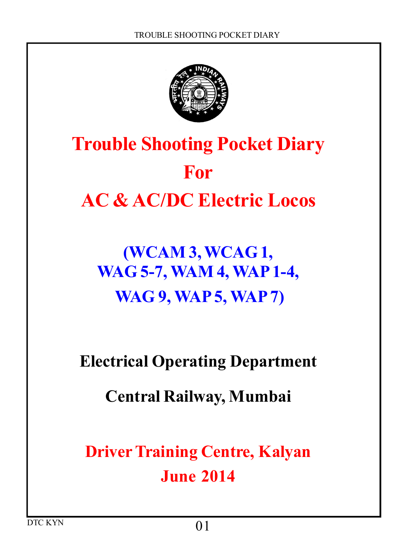

# **Trouble Shooting Pocket Diary For AC & AC/DC Electric Locos**

# **(WCAM 3, WCAG 1, WAG 5-7, WAM 4, WAP 1-4, WAG 9, WAP 5, WAP 7)**

### **Electrical Operating Department**

#### **Central Railway, Mumbai**

**Driver Training Centre, Kalyan June 2014**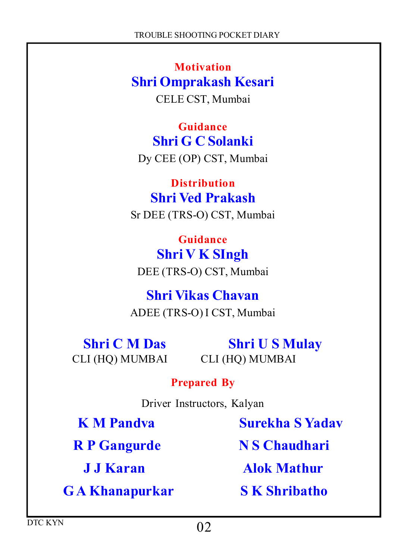**Motivation Shri Omprakash Kesari** CELE CST, Mumbai

**Guidance Shri G C Solanki** Dy CEE (OP) CST, Mumbai

**Distribution Shri Ved Prakash** Sr DEE (TRS-O) CST, Mumbai

**Guidance Shri V K SIngh** DEE (TRS-O) CST, Mumbai

**Shri Vikas Chavan** ADEE (TRS-O) I CST, Mumbai

CLI (HQ) MUMBAI CLI (HQ) MUMBAI

**Shri C M Das Shri U S Mulay** 

#### **Prepared By**

Driver Instructors, Kalyan

 **K M Pandva Surekha S Yadav R P Gangurde N S Chaudhari J J Karan Alok Mathur G A Khanapurkar S K Shribatho**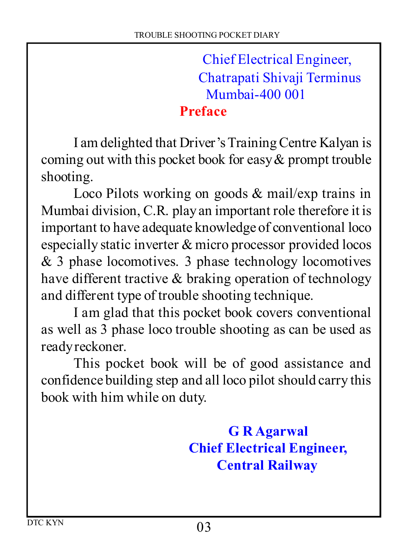Chief Electrical Engineer, Chatrapati Shivaji Terminus Mumbai-400 001

#### **Preface**

I am delighted that Driver's Training Centre Kalyan is coming out with this pocket book for easy  $\&$  prompt trouble shooting.

Loco Pilots working on goods & mail/exp trains in Mumbai division, C.R. play an important role therefore it is important to have adequate knowledge of conventional loco especially static inverter & micro processor provided locos & 3 phase locomotives. 3 phase technology locomotives have different tractive & braking operation of technology and different type of trouble shooting technique.

I am glad that this pocket book covers conventional as well as 3 phase loco trouble shooting as can be used as ready reckoner.

This pocket book will be of good assistance and confidence building step and all loco pilot should carry this book with him while on duty.

> **G R Agarwal Chief Electrical Engineer, Central Railway**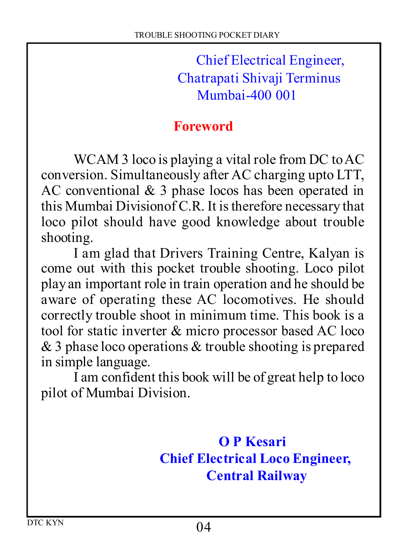Chief Electrical Engineer, Chatrapati Shivaji Terminus Mumbai-400 001

#### **Foreword**

WCAM 3 loco is playing a vital role from DC to AC conversion. Simultaneously after AC charging upto LTT, AC conventional & 3 phase locos has been operated in this Mumbai Divisionof C.R. It is therefore necessary that loco pilot should have good knowledge about trouble shooting.

I am glad that Drivers Training Centre, Kalyan is come out with this pocket trouble shooting. Loco pilot play an important role in train operation and he should be aware of operating these AC locomotives. He should correctly trouble shoot in minimum time. This book is a tool for static inverter & micro processor based AC loco & 3 phase loco operations & trouble shooting is prepared in simple language.

I am confident this book will be of great help to loco pilot of Mumbai Division.

> **O P Kesari Chief Electrical Loco Engineer, Central Railway**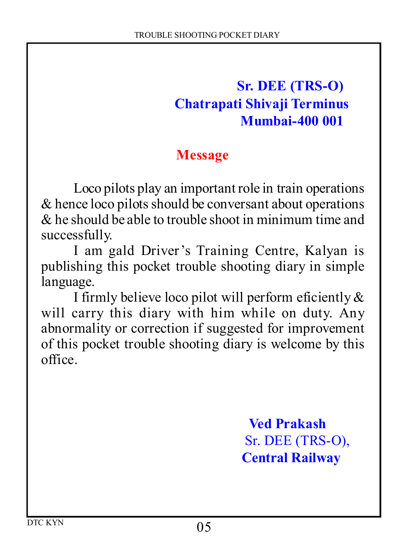#### **Sr. DEE (TRS-O) Chatrapati Shivaji Terminus Mumbai-400 001**

#### **Message**

Loco pilots play an important role in train operations & hence loco pilots should be conversant about operations  $\&$  he should be able to trouble shoot in minimum time and successfully.

I am gald Driver's Training Centre, Kalyan is publishing this pocket trouble shooting diary in simple language.

I firmly believe loco pilot will perform eficiently & will carry this diary with him while on duty. Any abnormality or correction if suggested for improvement of this pocket trouble shooting diary is welcome by this office.

> **Ved Prakash** Sr. DEE (TRS-O),  **Central Railway**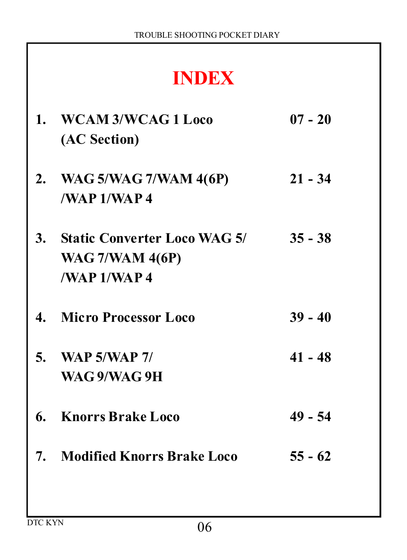# **INDEX**

| $1_{-}$ | WCAM 3/WCAG 1 Loco<br>(AC Section)                                        | $07 - 20$ |
|---------|---------------------------------------------------------------------------|-----------|
|         | 2. WAG 5/WAG 7/WAM 4(6P)<br>/NAP1/NAP4                                    | $21 - 34$ |
|         | 3. Static Converter Loco WAG 5/<br><b>WAG 7/WAM 4(6P)</b><br>/WAP 1/WAP 4 | $35 - 38$ |
| 4.      | <b>Micro Processor Loco</b>                                               | $39 - 40$ |
|         | 5. WAP $5/WAP$ 7/<br>WAG 9/WAG 9H                                         | $41 - 48$ |
|         | 6. Knorrs Brake Loco                                                      | $49 - 54$ |
|         | 7. Modified Knorrs Brake Loco                                             | $55 - 62$ |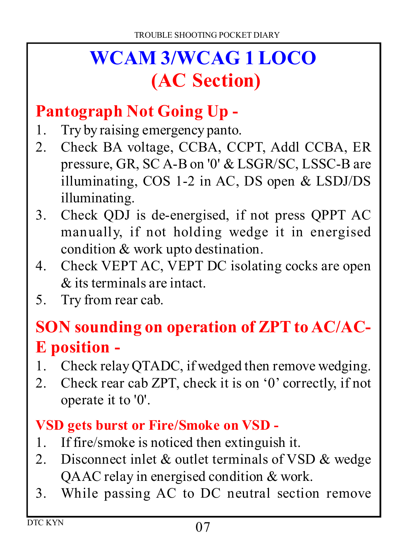# **WCAM 3/WCAG 1 LOCO (AC Section)**

#### **Pantograph Not Going Up -**

- 1. Try by raising emergency panto.
- 2. Check BA voltage, CCBA, CCPT, Addl CCBA, ER pressure, GR, SC A-B on '0' & LSGR/SC, LSSC-B are illuminating, COS 1-2 in AC, DS open & LSDJ/DS illuminating.
- Check QDJ is de-energised, if not press QPPT AC manually, if not holding wedge it in energised condition & work upto destination.
- Check VEPT AC, VEPT DC isolating cocks are open  $\&$  its terminals are intact.
- 5. Try from rear cab.

#### **SON sounding on operation of ZPT to AC/AC-E position -**

- Check relay QTADC, if wedged then remove wedging.
- 2. Check rear cab ZPT, check it is on '0' correctly, if not operate it to '0'.

#### **VSD gets burst or Fire/Smoke on VSD -**

- If fire/smoke is noticed then extinguish it.
- 2. Disconnect inlet  $&$  outlet terminals of VSD  $&$  wedge QAAC relay in energised condition & work.
- While passing AC to DC neutral section remove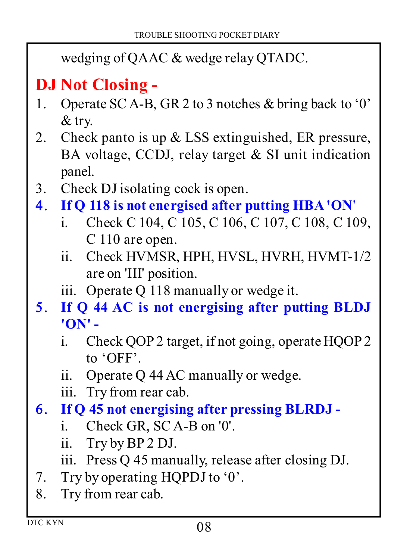wedging of QAAC & wedge relay QTADC.

# **DJ Not Closing -**

- Operate SC A-B, GR 2 to 3 notches & bring back to '0' & try.
- 2. Check panto is up  $&$  LSS extinguished, ER pressure, BA voltage, CCDJ, relay target & SI unit indication panel.
- Check DJ isolating cock is open.
- **If Q 118 is not energised after putting HBA 'ON**'
	- i. Check C 104, C 105, C 106, C 107, C 108, C 109, C 110 are open.
	- ii. Check HVMSR, HPH, HVSL, HVRH, HVMT-1/2 are on 'III' position.
	- iii. Operate Q 118 manually or wedge it.
- **If Q 44 AC is not energising after putting BLDJ 'ON'** 
	- i. Check QOP 2 target, if not going, operate HQOP 2 to 'OFF'.
	- ii. Operate Q 44 AC manually or wedge.
	- iii. Try from rear cab.
- **If Q 45 not energising after pressing BLRDJ** 
	- i. Check GR, SC A-B on '0'.
	- ii. Try by BP 2 DJ.
	- iii. Press Q 45 manually, release after closing DJ.
- 7. Try by operating HQPDJ to '0'.
- 8. Try from rear cab.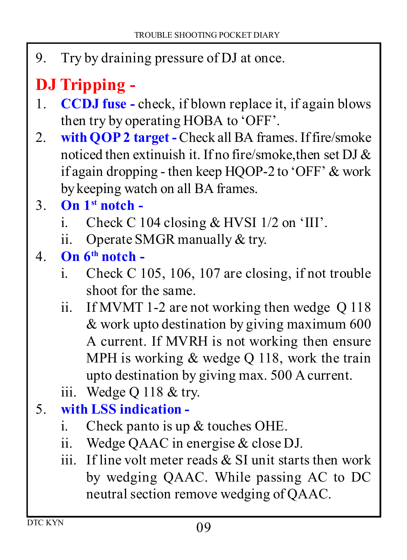Try by draining pressure of DJ at once.

# **DJ Tripping -**

- **CCDJ fuse -** check, if blown replace it, if again blows then try by operating HOBA to 'OFF'.
- 2. with **QOP 2 target** Check all BA frames. If fire/smoke noticed then extinuish it. If no fire/smoke,then set DJ & if again dropping - then keep HQOP-2 to 'OFF' & work by keeping watch on all BA frames.
- **On 1st notch** 
	- i. Check C 104 closing  $&$  HVSI 1/2 on 'III'.
	- ii. Operate SMGR manually & try.
- **On 6th notch** 
	- i. Check C 105, 106, 107 are closing, if not trouble shoot for the same.
	- ii. If MVMT 1-2 are not working then wedge Q 118 & work upto destination by giving maximum 600 A current. If MVRH is not working then ensure MPH is working & wedge Q 118, work the train upto destination by giving max. 500 A current.
	- iii. Wedge Q 118 & try.

#### **with LSS indication -**

- i. Check panto is up  $&$  touches OHE.
- ii. Wedge QAAC in energise & close DJ.
- iii. If line volt meter reads  $&$  SI unit starts then work by wedging QAAC. While passing AC to DC neutral section remove wedging of QAAC.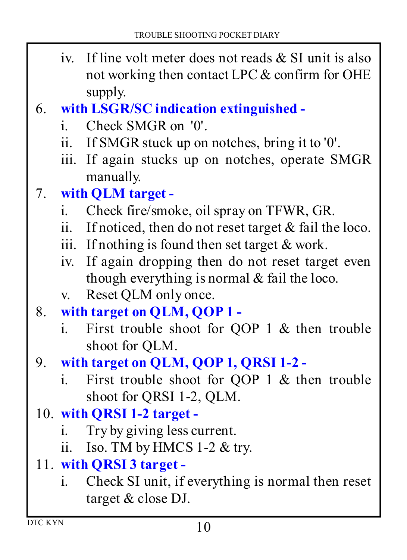- iv. If line volt meter does not reads  $&$  SI unit is also not working then contact LPC & confirm for OHE supply.
- **with LSGR/SC indication extinguished** 
	- i. Check SMGR on '0'.
	- ii. If SMGR stuck up on notches, bring it to '0'.
	- iii. If again stucks up on notches, operate SMGR manually.

#### **with QLM target -**

- i. Check fire/smoke, oil spray on TFWR, GR.
- ii. If noticed, then do not reset target & fail the loco.
- iii. If nothing is found then set target  $&$  work.
- iv. If again dropping then do not reset target even though everything is normal & fail the loco.
- v. Reset QLM only once.
- **with target on QLM, QOP 1** 
	- i. First trouble shoot for QOP 1 & then trouble shoot for QLM.
- **with target on QLM, QOP 1, QRSI 1-2** 
	- i. First trouble shoot for QOP 1 & then trouble shoot for QRSI 1-2, QLM.

#### **with QRSI 1-2 target -**

- i. Try by giving less current.
- ii. Iso. TM by HMCS 1-2 & try.
- **with QRSI 3 target** 
	- i. Check SI unit, if everything is normal then reset target & close DJ.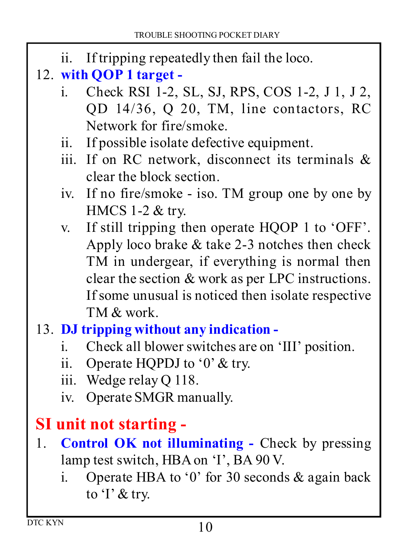- ii. If tripping repeatedly then fail the loco.
- **with QOP 1 target** 
	- i. Check RSI 1-2, SL, SJ, RPS, COS 1-2, J 1, J 2, QD 14/36, Q 20, TM, line contactors, RC Network for fire/smoke.
	- ii. If possible isolate defective equipment.
	- iii. If on RC network, disconnect its terminals  $\&$ clear the block section.
	- iv. If no fire/smoke iso. TM group one by one by HMCS 1-2 & try.
	- v. If still tripping then operate HQOP 1 to 'OFF'. Apply loco brake & take 2-3 notches then check TM in undergear, if everything is normal then clear the section & work as per LPC instructions. If some unusual is noticed then isolate respective TM & work.
- **DJ tripping without any indication** 
	- i. Check all blower switches are on 'III' position.
	- ii. Operate HQPDJ to '0' & try.
	- iii. Wedge relay Q 118.
	- iv. Operate SMGR manually.

### **SI unit not starting -**

- **Control OK not illuminating -** Check by pressing lamp test switch, HBA on 'I', BA 90 V.
	- i. Operate HBA to '0' for 30 seconds  $\&$  again back to 'I' & try.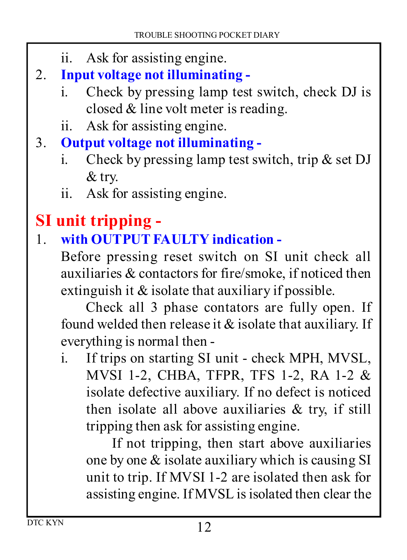- ii. Ask for assisting engine.
- **Input voltage not illuminating** 
	- i. Check by pressing lamp test switch, check DJ is closed & line volt meter is reading.
	- ii. Ask for assisting engine.
- **Output voltage not illuminating** 
	- i. Check by pressing lamp test switch, trip  $\&$  set DJ & try.
	- ii. Ask for assisting engine.

# **SI unit tripping -**

#### **with OUTPUT FAULTY indication -**

Before pressing reset switch on SI unit check all auxiliaries & contactors for fire/smoke, if noticed then extinguish it & isolate that auxiliary if possible.

Check all 3 phase contators are fully open. If found welded then release it & isolate that auxiliary. If everything is normal then -

i. If trips on starting SI unit - check MPH, MVSL, MVSI 1-2, CHBA, TFPR, TFS 1-2, RA 1-2 & isolate defective auxiliary. If no defect is noticed then isolate all above auxiliaries  $\&$  try, if still tripping then ask for assisting engine.

If not tripping, then start above auxiliaries one by one & isolate auxiliary which is causing SI unit to trip. If MVSI 1-2 are isolated then ask for assisting engine. If MVSL is isolated then clear the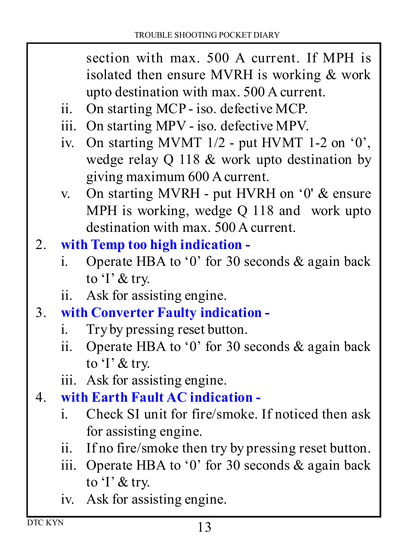section with max. 500 A current. If MPH is isolated then ensure MVRH is working & work upto destination with max. 500 A current.

- ii. On starting MCP iso. defective MCP.
- iii. On starting MPV iso. defective MPV.
- iv. On starting MVMT  $1/2$  put HVMT 1-2 on  $0$ , wedge relay Q 118 & work upto destination by giving maximum 600 A current.
- v. On starting MVRH put HVRH on '0' & ensure MPH is working, wedge Q 118 and work upto destination with max. 500 A current.

#### **with Temp too high indication -**

- i. Operate HBA to '0' for 30 seconds & again back to 'I' & try.
- ii. Ask for assisting engine.
- **with Converter Faulty indication** 
	- i. Try by pressing reset button.<br>ii Operate HBA to '0' for 30 s
	- Operate HBA to '0' for 30 seconds  $&$  again back to 'I' & try.
	- iii. Ask for assisting engine.
- **with Earth Fault AC indication** 
	- i. Check SI unit for fire/smoke. If noticed then ask for assisting engine.
	- ii. If no fire/smoke then try by pressing reset button.
	- iii. Operate HBA to '0' for 30 seconds & again back to 'I' & try.
	- iv. Ask for assisting engine.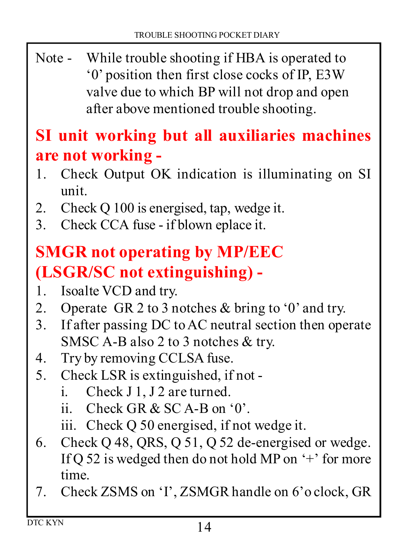Note - While trouble shooting if HBA is operated to '0' position then first close cocks of IP, E3W valve due to which BP will not drop and open after above mentioned trouble shooting.

#### **SI unit working but all auxiliaries machines are not working -**

- Check Output OK indication is illuminating on SI unit.
- 2. Check Q 100 is energised, tap, wedge it.
- Check CCA fuse if blown eplace it.

# **SMGR not operating by MP/EEC (LSGR/SC not extinguishing) -**

- 1. Isoalte VCD and try.
- 2. Operate GR 2 to 3 notches  $&$  bring to '0' and try.
- If after passing DC to AC neutral section then operate SMSC A-B also 2 to 3 notches & try.
- 4. Try by removing CCLSA fuse.
- 5. Check LSR is extinguished, if not
	- i. Check J 1, J 2 are turned.
	- ii. Check GR  $&$  SC A-B on  $0$ .
	- iii. Check Q 50 energised, if not wedge it.
- 6. Check  $Q$  48, QRS,  $Q$  51,  $Q$  52 de-energised or wedge. If Q 52 is wedged then do not hold MP on  $+$  for more time.
- Check ZSMS on 'I', ZSMGR handle on 6'o clock, GR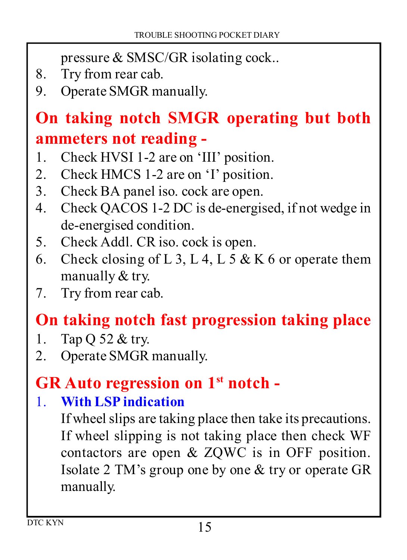pressure & SMSC/GR isolating cock..

- 8. Try from rear cab.
- 9. Operate SMGR manually.

# **On taking notch SMGR operating but both ammeters not reading -**

- Check HVSI 1-2 are on 'III' position.
- 2. Check HMCS 1-2 are on 'I' position.
- Check BA panel iso. cock are open.
- Check QACOS 1-2 DC is de-energised, if not wedge in de-energised condition.
- 5. Check Addl. CR iso. cock is open.
- 6. Check closing of L 3, L 4, L 5 & K 6 or operate them manually & try.
- 7. Try from rear cab.

# **On taking notch fast progression taking place**

- 1. Tap Q 52  $&$  try.
- 2. Operate SMGR manually.

#### **GR Auto regression on 1st notch -**

#### **With LSP indication**

If wheel slips are taking place then take its precautions. If wheel slipping is not taking place then check WF contactors are open & ZQWC is in OFF position. Isolate 2 TM's group one by one & try or operate GR manually.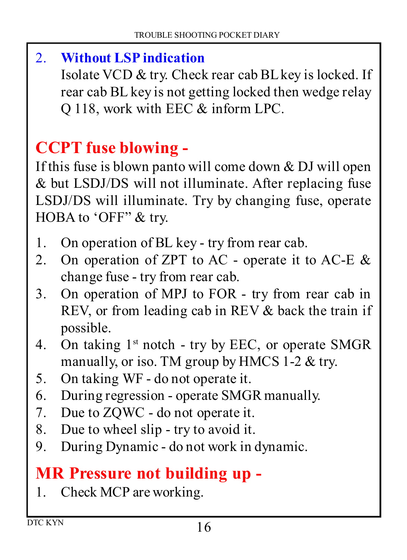#### **Without LSP indication**

Isolate VCD & try. Check rear cab BL key is locked. If rear cab BL key is not getting locked then wedge relay Q 118, work with EEC & inform LPC.

# **CCPT fuse blowing -**

If this fuse is blown panto will come down & DJ will open & but LSDJ/DS will not illuminate. After replacing fuse LSDJ/DS will illuminate. Try by changing fuse, operate HOBA to 'OFF" & try.

- On operation of BL key try from rear cab.
- 2. On operation of ZPT to AC operate it to AC-E  $\&$ change fuse - try from rear cab.
- On operation of MPJ to FOR try from rear cab in REV, or from leading cab in REV & back the train if possible.
- 4. On taking  $1<sup>st</sup>$  notch try by EEC, or operate SMGR manually, or iso. TM group by HMCS 1-2 & try.
- On taking WF do not operate it.
- During regression operate SMGR manually.
- 7. Due to ZOWC do not operate it.
- Due to wheel slip try to avoid it.
- During Dynamic do not work in dynamic.

# **MR Pressure not building up -**

1. Check MCP are working.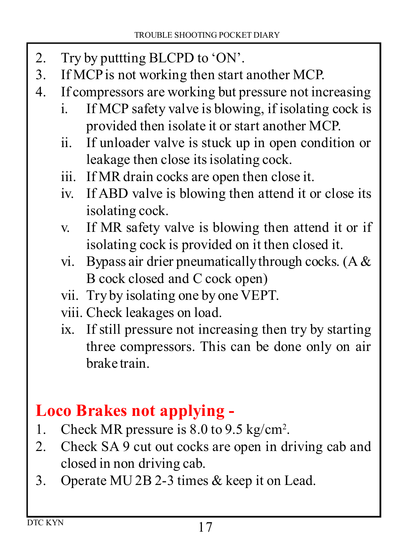- 2. Try by puttting BLCPD to 'ON'.<br>3. If MCP is not working then start
- If MCP is not working then start another MCP.
- If compressors are working but pressure not increasing
	- i. If MCP safety valve is blowing, if isolating cock is provided then isolate it or start another MCP.
	- ii. If unloader valve is stuck up in open condition or leakage then close its isolating cock.
	- iii. If MR drain cocks are open then close it.
	- iv. If ABD valve is blowing then attend it or close its isolating cock.
	- v. If MR safety valve is blowing then attend it or if isolating cock is provided on it then closed it.
	- vi. Bypass air drier pneumatically through cocks. (A  $\&$ B cock closed and C cock open)
	- vii. Try by isolating one by one VEPT.
	- viii. Check leakages on load.
	- ix. If still pressure not increasing then try by starting three compressors. This can be done only on air brake train.

#### **Loco Brakes not applying -**

- 1. Check MR pressure is 8.0 to 9.5 kg/cm<sup>2</sup>.
- Check SA 9 cut out cocks are open in driving cab and closed in non driving cab.
- Operate MU 2B 2-3 times & keep it on Lead.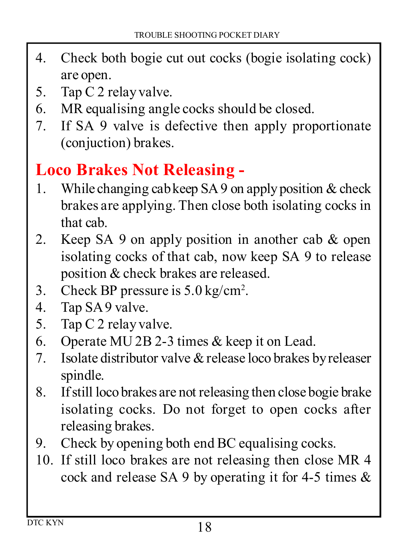- Check both bogie cut out cocks (bogie isolating cock) are open.
- 5. Tap C 2 relay valve.
- MR equalising angle cocks should be closed.
- If SA 9 valve is defective then apply proportionate (conjuction) brakes.

#### **Loco Brakes Not Releasing -**

- While changing cab keep SA 9 on apply position & check brakes are applying. Then close both isolating cocks in that cab.
- 2. Keep SA 9 on apply position in another cab  $\&$  open isolating cocks of that cab, now keep SA 9 to release position & check brakes are released.
- 3. Check BP pressure is  $5.0 \text{ kg/cm}^2$ .
- Tap SA 9 valve.
- 5. Tap C 2 relay valve.
- Operate MU 2B 2-3 times & keep it on Lead.
- 7. Isolate distributor valve  $\&$  release loco brakes by releaser spindle.
- If still loco brakes are not releasing then close bogie brake isolating cocks. Do not forget to open cocks after releasing brakes.
- Check by opening both end BC equalising cocks.
- If still loco brakes are not releasing then close MR 4 cock and release SA 9 by operating it for 4-5 times &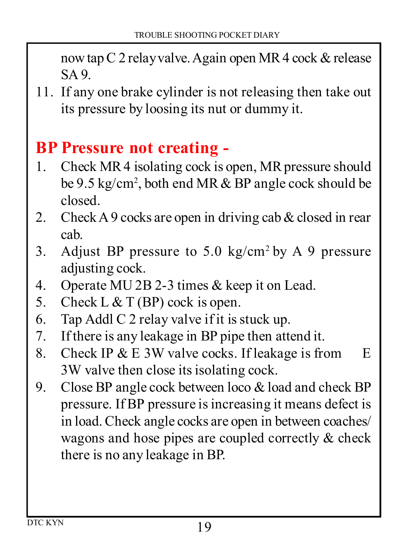now tap C 2 relay valve. Again open MR 4 cock & release SA 9.

 If any one brake cylinder is not releasing then take out its pressure by loosing its nut or dummy it.

#### **BP Pressure not creating -**

- Check MR 4 isolating cock is open, MR pressure should be 9.5 kg/cm<sup>2</sup> , both end MR & BP angle cock should be closed.
- 2. Check A 9 cocks are open in driving cab  $\&$  closed in rear cab.
- 3. Adjust BP pressure to  $5.0 \text{ kg/cm}^2$  by A 9 pressure adjusting cock.
- Operate MU 2B 2-3 times & keep it on Lead.
- 5. Check L  $&$  T (BP) cock is open.
- Tap Addl C 2 relay valve if it is stuck up.
- If there is any leakage in BP pipe then attend it.
- 8. Check IP  $& E 3W$  valve cocks. If leakage is from  $E$ 3W valve then close its isolating cock.
- Close BP angle cock between loco & load and check BP pressure. If BP pressure is increasing it means defect is in load. Check angle cocks are open in between coaches/ wagons and hose pipes are coupled correctly & check there is no any leakage in BP.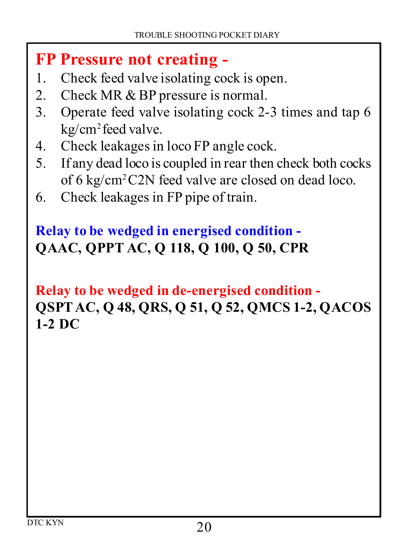#### **FP Pressure not creating -**

- Check feed valve isolating cock is open.
- 2. Check MR & BP pressure is normal.
- Operate feed valve isolating cock 2-3 times and tap 6 kg/cm<sup>2</sup> feed valve.
- Check leakages in loco FP angle cock.
- If any dead loco is coupled in rear then check both cocks of 6 kg/cm<sup>2</sup>C2N feed valve are closed on dead loco.
- Check leakages in FP pipe of train.

#### **Relay to be wedged in energised condition - QAAC, QPPT AC, Q 118, Q 100, Q 50, CPR**

#### **Relay to be wedged in de-energised condition - QSPT AC, Q 48, QRS, Q 51, Q 52, QMCS 1-2, QACOS 1-2 DC**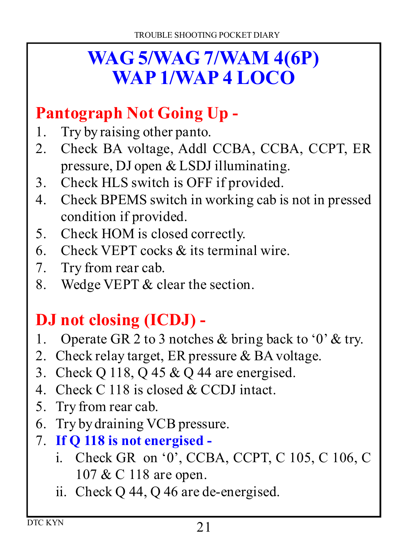# **WAG 5/WAG 7/WAM 4(6P) WAP 1/WAP 4 LOCO**

#### **Pantograph Not Going Up -**

- 1. Try by raising other panto.
- 2. Check BA voltage, Addl CCBA, CCBA, CCPT, ER pressure, DJ open & LSDJ illuminating.
- Check HLS switch is OFF if provided.
- Check BPEMS switch in working cab is not in pressed condition if provided.
- Check HOM is closed correctly.
- Check VEPT cocks & its terminal wire.
- 7. Try from rear cab.
- 8. Wedge VEPT & clear the section.

# **DJ not closing (ICDJ) -**

- 1. Operate GR 2 to 3 notches  $\&$  bring back to '0'  $\&$  try.
- 2. Check relay target, ER pressure  $&BA$  voltage.
- Check Q 118, Q 45 & Q 44 are energised.
- 4. Check C 118 is closed & CCDJ intact.
- 5. Try from rear cab.
- 6. Try by draining VCB pressure.
- **If Q 118 is not energised** 
	- i. Check GR on '0', CCBA, CCPT, C 105, C 106, C 107 & C 118 are open.
	- ii. Check Q 44, Q 46 are de-energised.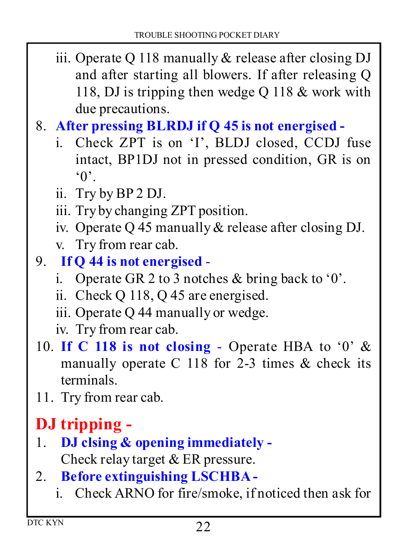iii. Operate Q 118 manually & release after closing DJ and after starting all blowers. If after releasing Q 118, DJ is tripping then wedge Q 118 & work with due precautions.

#### **After pressing BLRDJ if Q 45 is not energised -**

- i. Check ZPT is on 'I', BLDJ closed, CCDJ fuse intact, BP1DJ not in pressed condition, GR is on  $^{\circ}$  ()<sup> $\cdot$ </sup>
- ii. Try by BP 2 DJ.
- iii. Try by changing ZPT position.
- iv. Operate Q 45 manually & release after closing DJ.
- v. Try from rear cab.
- **If Q 44 is not energised** 
	- i. Operate GR 2 to 3 notches & bring back to '0'.
	- ii. Check Q 118, Q 45 are energised.
	- iii. Operate Q 44 manually or wedge.
	- iv. Try from rear cab.
- 10. If C 118 is not closing Operate HBA to  $0' \&$ manually operate C 118 for 2-3 times & check its terminals.
- 11. Try from rear cab.

# **DJ tripping -**

- **DJ clsing & opening immediately -** Check relay target & ER pressure.
- **Before extinguishing LSCHBA** 
	- i. Check ARNO for fire/smoke, if noticed then ask for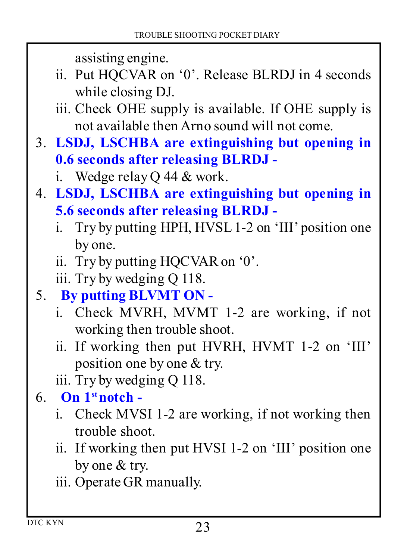assisting engine.

- ii. Put HQCVAR on '0'. Release BLRDJ in 4 seconds while closing DJ.
- iii. Check OHE supply is available. If OHE supply is not available then Arno sound will not come.
- **LSDJ, LSCHBA are extinguishing but opening in 0.6 seconds after releasing BLRDJ** 
	- i. Wedge relay Q 44 & work.
- **LSDJ, LSCHBA are extinguishing but opening in 5.6 seconds after releasing BLRDJ** 
	- i. Try by putting HPH, HVSL 1-2 on 'III' position one by one.
	- ii. Try by putting HQCVAR on '0'.
	- iii. Try by wedging Q 118.
- **By putting BLVMT ON** 
	- i. Check MVRH, MVMT 1-2 are working, if not working then trouble shoot.
	- ii. If working then put HVRH, HVMT 1-2 on 'III' position one by one & try.
	- iii. Try by wedging Q 118.
- $6.$  On  $1^{\text{st}}$  notch
	- i. Check MVSI 1-2 are working, if not working then trouble shoot.
	- ii. If working then put HVSI 1-2 on 'III' position one by one & try.
	- iii. Operate GR manually.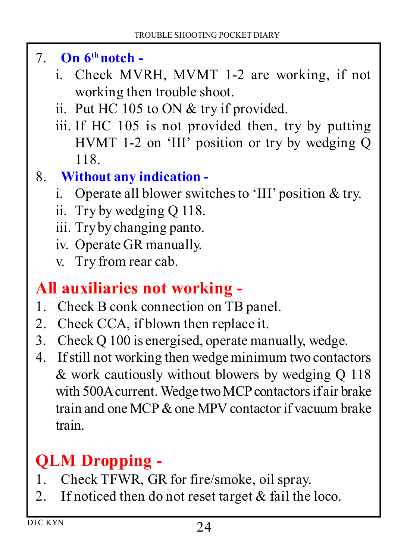- **On 6th notch** 
	- i. Check MVRH, MVMT 1-2 are working, if not working then trouble shoot.
	- ii. Put HC 105 to ON & try if provided.
	- iii. If HC 105 is not provided then, try by putting HVMT 1-2 on 'III' position or try by wedging Q 118.
- **Without any indication** 
	- i. Operate all blower switches to 'III' position & try.
	- ii. Try by wedging Q 118.
	- iii. Try by changing panto.
	- iv. Operate GR manually.
	- v. Try from rear cab.

#### **All auxiliaries not working -**

- 1. Check B conk connection on TB panel.
- 2. Check CCA, if blown then replace it.
- Check Q 100 is energised, operate manually, wedge.
- If still not working then wedge minimum two contactors & work cautiously without blowers by wedging Q 118 with 500A current. Wedge two MCP contactors if air brake train and one MCP & one MPV contactor if vacuum brake train.

# **QLM Dropping -**

- Check TFWR, GR for fire/smoke, oil spray.
- 2. If noticed then do not reset target  $&$  fail the loco.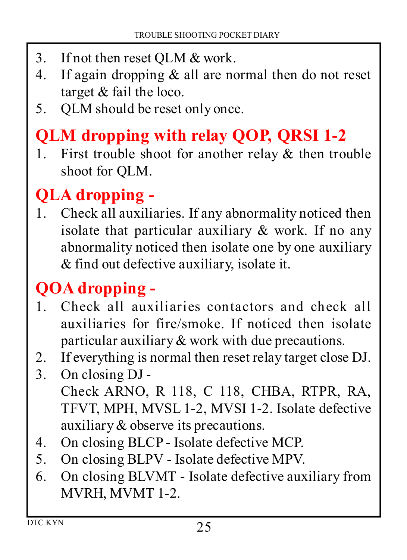- 3. If not then reset QLM & work.
- 4. If again dropping  $&$  all are normal then do not reset target & fail the loco.
- QLM should be reset only once.

# **QLM dropping with relay QOP, QRSI 1-2**

1. First trouble shoot for another relay  $\&$  then trouble shoot for QLM.

### **QLA dropping -**

 Check all auxiliaries. If any abnormality noticed then isolate that particular auxiliary & work. If no any abnormality noticed then isolate one by one auxiliary & find out defective auxiliary, isolate it.

# **QOA dropping -**

- Check all auxiliaries contactors and check all auxiliaries for fire/smoke. If noticed then isolate particular auxiliary & work with due precautions.
- 2. If everything is normal then reset relay target close DJ.<br>3. On closing DJ -
- On closing DJ Check ARNO, R 118, C 118, CHBA, RTPR, RA, TFVT, MPH, MVSL 1-2, MVSI 1-2. Isolate defective auxiliary & observe its precautions.
- On closing BLCP Isolate defective MCP.
- On closing BLPV Isolate defective MPV.
- On closing BLVMT Isolate defective auxiliary from MVRH, MVMT 1-2.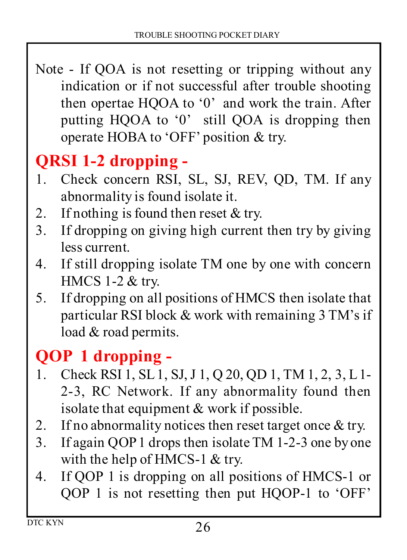Note - If QOA is not resetting or tripping without any indication or if not successful after trouble shooting then opertae HQOA to '0' and work the train. After putting HQOA to '0' still QOA is dropping then operate HOBA to 'OFF' position & try.

# **QRSI 1-2 dropping -**

- Check concern RSI, SL, SJ, REV, QD, TM. If any abnormality is found isolate it.
- 2. If nothing is found then reset  $&$  try.
- If dropping on giving high current then try by giving less current.
- If still dropping isolate TM one by one with concern HMCS 1-2 & try.
- If dropping on all positions of HMCS then isolate that particular RSI block & work with remaining 3 TM's if load & road permits.

### **QOP 1 dropping -**

- Check RSI 1, SL 1, SJ, J 1, Q 20, QD 1, TM 1, 2, 3, L 1- 2-3, RC Network. If any abnormality found then isolate that equipment & work if possible.
- 2. If no abnormality notices then reset target once  $&$  try.
- If again QOP 1 drops then isolate TM 1-2-3 one by one with the help of HMCS-1 & try.
- If QOP 1 is dropping on all positions of HMCS-1 or QOP 1 is not resetting then put HQOP-1 to 'OFF'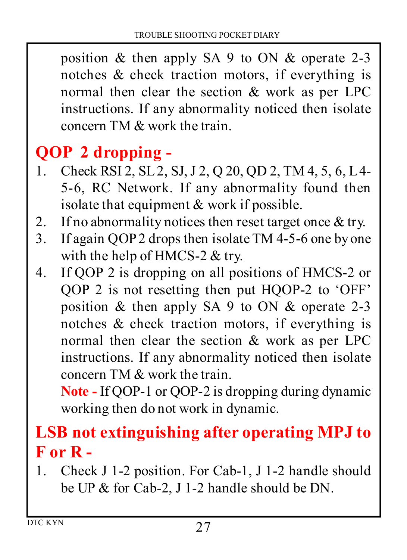position & then apply SA 9 to ON & operate 2-3 notches & check traction motors, if everything is normal then clear the section & work as per LPC instructions. If any abnormality noticed then isolate concern TM & work the train.

# **QOP 2 dropping -**

- 1. Check RSI 2, SL 2, SJ, J 2, Q 20, OD 2, TM 4, 5, 6, L 4-5-6, RC Network. If any abnormality found then isolate that equipment & work if possible.
- 2. If no abnormality notices then reset target once  $\&$  try.
- If again QOP 2 drops then isolate TM 4-5-6 one by one with the help of HMCS-2 & try.
- If QOP 2 is dropping on all positions of HMCS-2 or QOP 2 is not resetting then put HQOP-2 to 'OFF' position & then apply SA 9 to ON & operate 2-3 notches & check traction motors, if everything is normal then clear the section & work as per LPC instructions. If any abnormality noticed then isolate concern TM & work the train.

**Note - If QOP-1 or QOP-2 is dropping during dynamic** working then do not work in dynamic.

#### **LSB not extinguishing after operating MPJ to F or R -**

 Check J 1-2 position. For Cab-1, J 1-2 handle should be UP & for Cab-2, J 1-2 handle should be DN.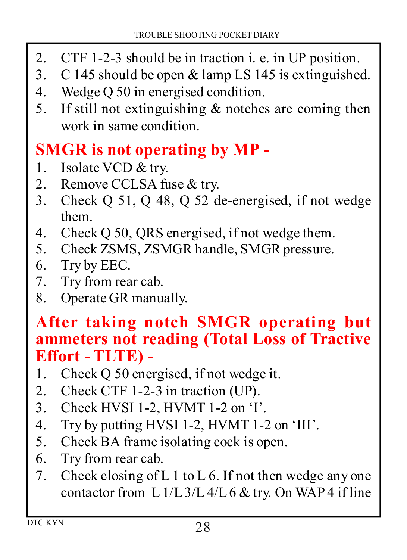- CTF 1-2-3 should be in traction i. e. in UP position.
- C 145 should be open & lamp LS 145 is extinguished.
- Wedge Q 50 in energised condition.
- 5. If still not extinguishing  $&$  notches are coming then work in same condition.

#### **SMGR is not operating by MP -**

- 1. Isolate VCD & try.
- 2. Remove CCLSA fuse & try.
- Check Q 51, Q 48, Q 52 de-energised, if not wedge them.
- Check Q 50, QRS energised, if not wedge them.
- 5. Check ZSMS, ZSMGR handle, SMGR pressure.
- 6. Try by EEC.
- 7. Try from rear cab.
- 8. Operate GR manually.

#### **After taking notch SMGR operating but ammeters not reading (Total Loss of Tractive Effort - TLTE) -**

- Check Q 50 energised, if not wedge it.
- 2. Check CTF 1-2-3 in traction (UP).
- Check HVSI 1-2, HVMT 1-2 on 'I'.
- Try by putting HVSI 1-2, HVMT 1-2 on 'III'.
- 5. Check BA frame isolating cock is open.
- Try from rear cab.
- 7. Check closing of L 1 to L 6. If not then wedge any one contactor from L  $1/L$  3/L  $4/L$  6 & try. On WAP 4 if line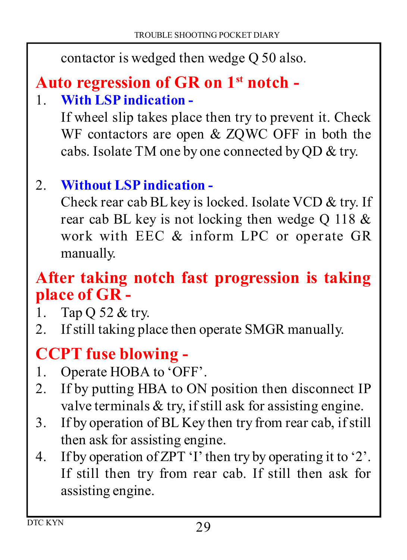contactor is wedged then wedge Q 50 also.

# **Auto regression of GR on 1st notch -**

#### **With LSP indication -**

If wheel slip takes place then try to prevent it. Check WF contactors are open & ZQWC OFF in both the cabs. Isolate TM one by one connected by QD & try.

#### **Without LSP indication -**

Check rear cab BL key is locked. Isolate VCD & try. If rear cab BL key is not locking then wedge Q 118  $\&$ work with EEC & inform LPC or operate GR manually.

#### **After taking notch fast progression is taking place of GR -**

- 1. Tap Q 52  $&$  try.
- 2. If still taking place then operate SMGR manually.

### **CCPT fuse blowing -**

- 1. Operate HOBA to 'OFF'.
- 2. If by putting HBA to ON position then disconnect IP valve terminals & try, if still ask for assisting engine.
- If by operation of BL Key then try from rear cab, if still then ask for assisting engine.
- If by operation of ZPT 'I' then try by operating it to '2'. If still then try from rear cab. If still then ask for assisting engine.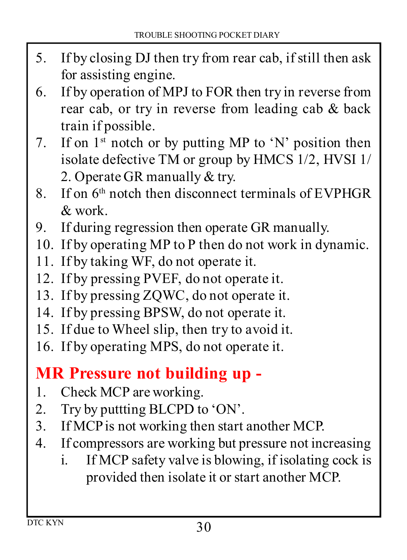- If by closing DJ then try from rear cab, if still then ask for assisting engine.
- If by operation of MPJ to FOR then try in reverse from rear cab, or try in reverse from leading cab & back train if possible.
- 7. If on  $1<sup>st</sup>$  notch or by putting MP to 'N' position then isolate defective TM or group by HMCS 1/2, HVSI 1/ 2. Operate GR manually & try.
- 8. If on  $6<sup>th</sup>$  notch then disconnect terminals of EVPHGR & work.
- If during regression then operate GR manually.
- 10. If by operating MP to P then do not work in dynamic.
- 11. If by taking WF, do not operate it.
- 12. If by pressing PVEF, do not operate it.
- 13. If by pressing ZQWC, do not operate it.
- 14. If by pressing BPSW, do not operate it.
- 15. If due to Wheel slip, then try to avoid it.
- 16. If by operating MPS, do not operate it.

#### **MR Pressure not building up -**

- 1. Check MCP are working.
- 2. Try by puttting BLCPD to 'ON'.
- If MCP is not working then start another MCP.
- If compressors are working but pressure not increasing
	- i. If MCP safety valve is blowing, if isolating cock is provided then isolate it or start another MCP.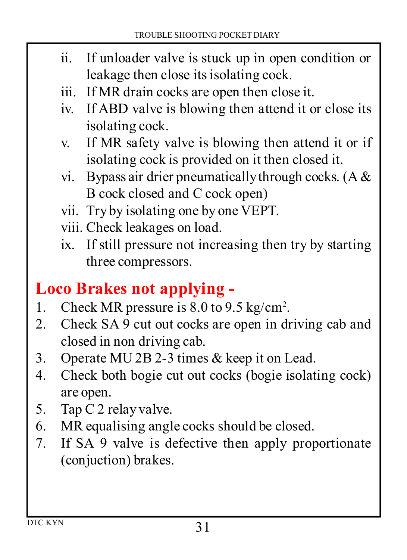- ii. If unloader valve is stuck up in open condition or leakage then close its isolating cock.
- iii. If MR drain cocks are open then close it.
- iv. If ABD valve is blowing then attend it or close its isolating cock.
- v. If MR safety valve is blowing then attend it or if isolating cock is provided on it then closed it.
- vi. Bypass air drier pneumatically through cocks.  $(A \& B)$ B cock closed and C cock open)
- vii. Try by isolating one by one VEPT.
- viii. Check leakages on load.
- ix. If still pressure not increasing then try by starting three compressors.

### **Loco Brakes not applying -**

- 1. Check MR pressure is 8.0 to 9.5 kg/cm<sup>2</sup>.
- 2. Check SA 9 cut out cocks are open in driving cab and closed in non driving cab.
- Operate MU 2B 2-3 times & keep it on Lead.
- Check both bogie cut out cocks (bogie isolating cock) are open.
- 5. Tap C 2 relay valve.
- MR equalising angle cocks should be closed.
- If SA 9 valve is defective then apply proportionate (conjuction) brakes.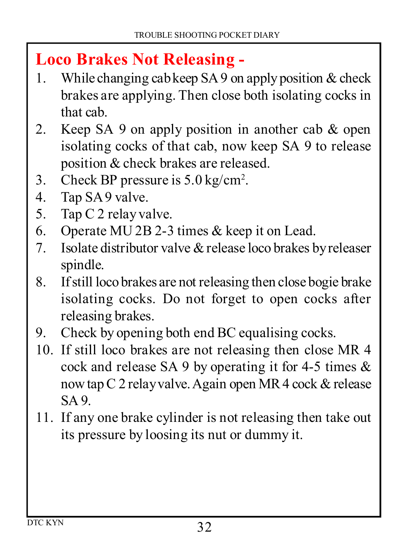#### **Loco Brakes Not Releasing -**

- While changing cab keep SA 9 on apply position & check brakes are applying. Then close both isolating cocks in that cab.
- 2. Keep SA 9 on apply position in another cab  $\&$  open isolating cocks of that cab, now keep SA 9 to release position & check brakes are released.
- 3. Check BP pressure is  $5.0 \text{ kg/cm}^2$ .
- Tap SA 9 valve.
- 5. Tap C 2 relay valve.
- Operate MU 2B 2-3 times & keep it on Lead.
- 7. Isolate distributor valve  $\&$  release loco brakes by releaser spindle.
- If still loco brakes are not releasing then close bogie brake isolating cocks. Do not forget to open cocks after releasing brakes.
- Check by opening both end BC equalising cocks.
- If still loco brakes are not releasing then close MR 4 cock and release SA 9 by operating it for 4-5 times  $\&$ now tap C 2 relay valve. Again open MR 4 cock & release SA 9.
- If any one brake cylinder is not releasing then take out its pressure by loosing its nut or dummy it.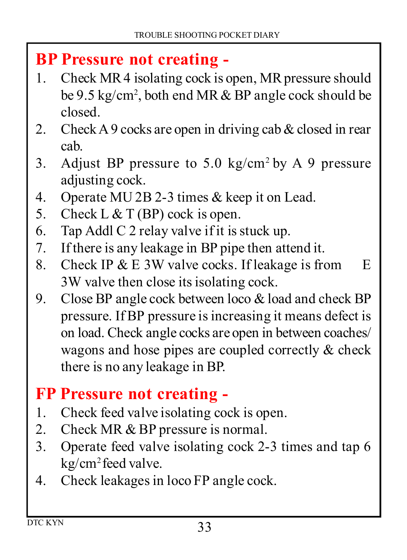#### **BP Pressure not creating -**

- Check MR 4 isolating cock is open, MR pressure should be 9.5 kg/cm<sup>2</sup> , both end MR & BP angle cock should be closed.
- 2. Check A 9 cocks are open in driving cab  $&$  closed in rear cab.
- 3. Adjust BP pressure to 5.0 kg/cm<sup>2</sup> by A 9 pressure adjusting cock.
- Operate MU 2B 2-3 times & keep it on Lead.
- 5. Check L  $&$  T (BP) cock is open.
- Tap Addl C 2 relay valve if it is stuck up.
- If there is any leakage in BP pipe then attend it.
- Check IP & E 3W valve cocks. If leakage is from E 3W valve then close its isolating cock.
- Close BP angle cock between loco & load and check BP pressure. If BP pressure is increasing it means defect is on load. Check angle cocks are open in between coaches/ wagons and hose pipes are coupled correctly & check there is no any leakage in BP.

#### **FP Pressure not creating -**

- Check feed valve isolating cock is open.
- 2. Check MR & BP pressure is normal.
- Operate feed valve isolating cock 2-3 times and tap 6 kg/cm<sup>2</sup>feed valve.
- Check leakages in loco FP angle cock.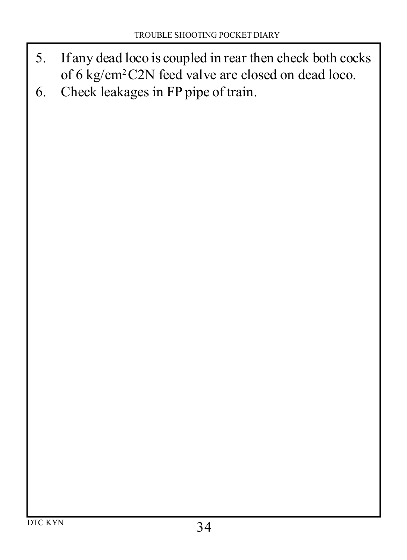- 5. If any dead loco is coupled in rear then check both cocks of 6 kg/cm<sup>2</sup>C2N feed valve are closed on dead loco.
- 6. Check leakages in FP pipe of train.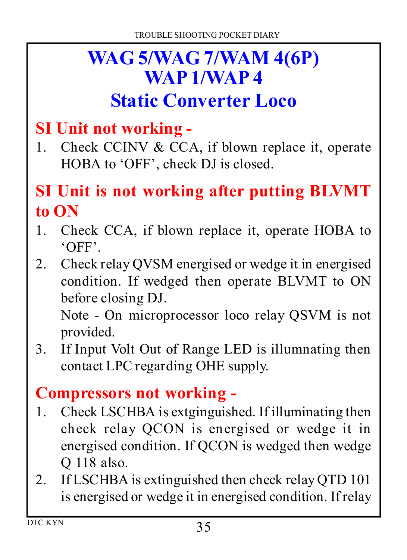# **WAG 5/WAG 7/WAM 4(6P) WAP 1/WAP 4**

# **Static Converter Loco**

#### **SI Unit not working -**

1. Check CCINV  $& CCA$ , if blown replace it, operate HOBA to 'OFF', check DJ is closed.

#### **SI Unit is not working after putting BLVMT to ON**

- 1. Check CCA, if blown replace it, operate HOBA to 'OFF'.
- Check relay QVSM energised or wedge it in energised condition. If wedged then operate BLVMT to ON before closing DJ.

Note - On microprocessor loco relay QSVM is not provided.

 If Input Volt Out of Range LED is illumnating then contact LPC regarding OHE supply.

#### **Compressors not working -**

- Check LSCHBA is extginguished. If illuminating then check relay QCON is energised or wedge it in energised condition. If QCON is wedged then wedge Q 118 also.
- 2. If LSCHBA is extinguished then check relay QTD 101 is energised or wedge it in energised condition. If relay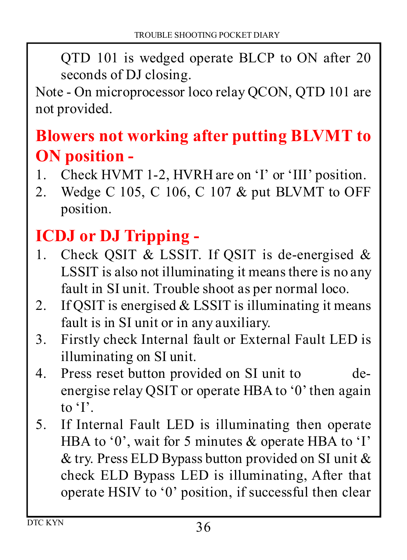QTD 101 is wedged operate BLCP to ON after 20 seconds of DJ closing.

Note - On microprocessor loco relay QCON, QTD 101 are not provided.

### **Blowers not working after putting BLVMT to ON position -**

- Check HVMT 1-2, HVRH are on 'I' or 'III' position.
- Wedge C 105, C 106, C 107 & put BLVMT to OFF position.

#### **ICDJ or DJ Tripping -**

- 1. Check OSIT & LSSIT. If OSIT is de-energised  $\&$ LSSIT is also not illuminating it means there is no any fault in SI unit. Trouble shoot as per normal loco.
- 2. If OSIT is energised  $& LSST$  is illuminating it means fault is in SI unit or in any auxiliary.
- Firstly check Internal fault or External Fault LED is illuminating on SI unit.
- Press reset button provided on SI unit to deenergise relay QSIT or operate HBA to '0' then again to 'I'.
- If Internal Fault LED is illuminating then operate HBA to '0', wait for 5 minutes & operate HBA to 'I' & try. Press ELD Bypass button provided on SI unit & check ELD Bypass LED is illuminating, After that operate HSIV to '0' position, if successful then clear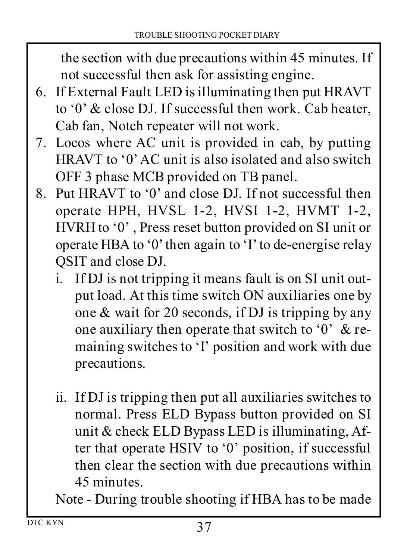the section with due precautions within 45 minutes. If not successful then ask for assisting engine.

- If External Fault LED is illuminating then put HRAVT to '0' & close DJ. If successful then work. Cab heater, Cab fan, Notch repeater will not work.
- Locos where AC unit is provided in cab, by putting HRAVT to '0' AC unit is also isolated and also switch OFF 3 phase MCB provided on TB panel.
- Put HRAVT to '0' and close DJ. If not successful then operate HPH, HVSL 1-2, HVSI 1-2, HVMT 1-2, HVRH to '0' , Press reset button provided on SI unit or operate HBA to '0' then again to 'I' to de-energise relay QSIT and close DJ.
	- i. If DJ is not tripping it means fault is on SI unit output load. At this time switch ON auxiliaries one by one & wait for 20 seconds, if DJ is tripping by any one auxiliary then operate that switch to '0' & remaining switches to 'I' position and work with due precautions.
	- ii. If DJ is tripping then put all auxiliaries switches to normal. Press ELD Bypass button provided on SI unit & check ELD Bypass LED is illuminating, After that operate HSIV to '0' position, if successful then clear the section with due precautions within 45 minutes.

Note - During trouble shooting if HBA has to be made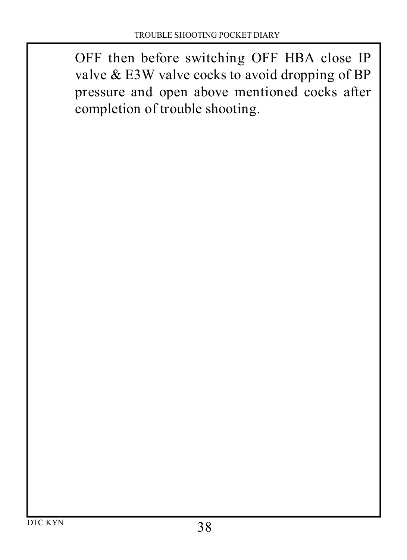OFF then before switching OFF HBA close IP valve & E3W valve cocks to avoid dropping of BP pressure and open above mentioned cocks after completion of trouble shooting.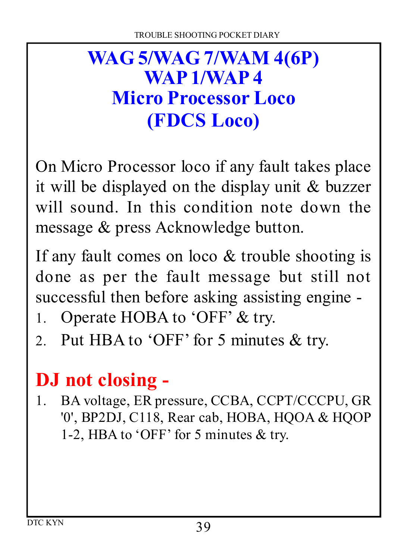# **WAG 5/WAG 7/WAM 4(6P) WAP 1/WAP 4 Micro Processor Loco (FDCS Loco)**

On Micro Processor loco if any fault takes place it will be displayed on the display unit & buzzer will sound. In this condition note down the message & press Acknowledge button.

If any fault comes on loco  $\&$  trouble shooting is done as per the fault message but still not successful then before asking assisting engine -

- 1. Operate HOBA to 'OFF' & try.
- 2. Put HBA to 'OFF' for 5 minutes & try.

# **DJ not closing -**

 BA voltage, ER pressure, CCBA, CCPT/CCCPU, GR '0', BP2DJ, C118, Rear cab, HOBA, HQOA & HQOP 1-2, HBA to 'OFF' for 5 minutes & try.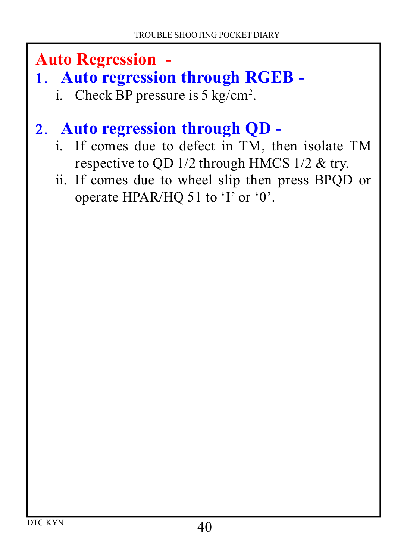**Auto Regression -**

- **Auto regression through RGEB** 
	- i. Check BP pressure is  $5 \text{ kg/cm}^2$ .

#### **Auto regression through QD -**

- i. If comes due to defect in TM, then isolate TM respective to QD 1/2 through HMCS 1/2 & try.
- ii. If comes due to wheel slip then press BPQD or operate HPAR/HQ 51 to 'I' or '0'.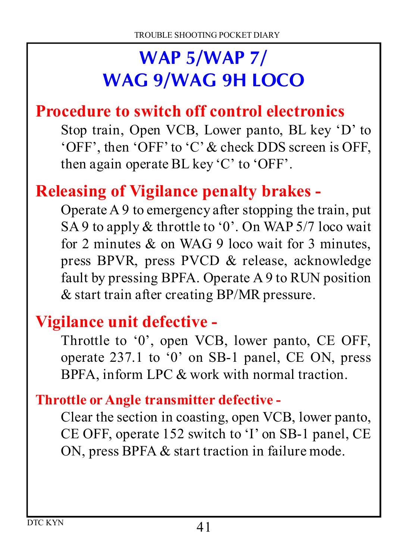# **WAP 5/WAP 7/ WAG 9/WAG 9H LOCO**

#### **Procedure to switch off control electronics**

Stop train, Open VCB, Lower panto, BL key 'D' to 'OFF', then 'OFF' to 'C' & check DDS screen is OFF, then again operate BL key 'C' to 'OFF'.

#### **Releasing of Vigilance penalty brakes -**

Operate A 9 to emergency after stopping the train, put SA 9 to apply & throttle to '0'. On WAP 5/7 loco wait for 2 minutes & on WAG 9 loco wait for 3 minutes, press BPVR, press PVCD & release, acknowledge fault by pressing BPFA. Operate A 9 to RUN position & start train after creating BP/MR pressure.

#### **Vigilance unit defective -**

Throttle to '0', open VCB, lower panto, CE OFF, operate 237.1 to '0' on SB-1 panel, CE ON, press BPFA, inform LPC & work with normal traction.

#### **Throttle or Angle transmitter defective -**

Clear the section in coasting, open VCB, lower panto, CE OFF, operate 152 switch to 'I' on SB-1 panel, CE ON, press BPFA & start traction in failure mode.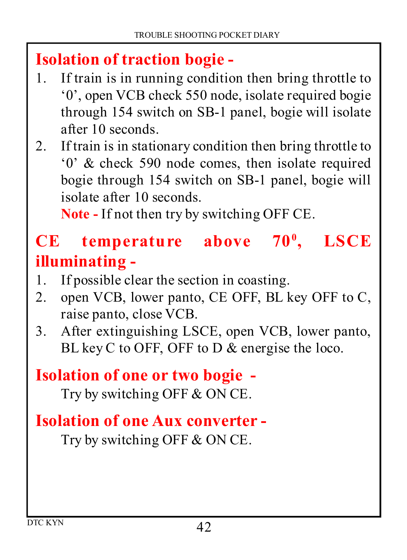#### **Isolation of traction bogie -**

- If train is in running condition then bring throttle to '0', open VCB check 550 node, isolate required bogie through 154 switch on SB-1 panel, bogie will isolate after 10 seconds.
- 2. If train is in stationary condition then bring throttle to '0' & check 590 node comes, then isolate required bogie through 154 switch on SB-1 panel, bogie will isolate after 10 seconds.

**Note -** If not then try by switching OFF CE.

#### **CE temperature above 70<sup>0</sup> , LSCE illuminating -**

- If possible clear the section in coasting.
- 2. open VCB, lower panto, CE OFF, BL key OFF to C, raise panto, close VCB.
- After extinguishing LSCE, open VCB, lower panto, BL key C to OFF, OFF to D & energise the loco.

#### **Isolation of one or two bogie -**

Try by switching OFF & ON CE.

#### **Isolation of one Aux converter -**

Try by switching OFF & ON CE.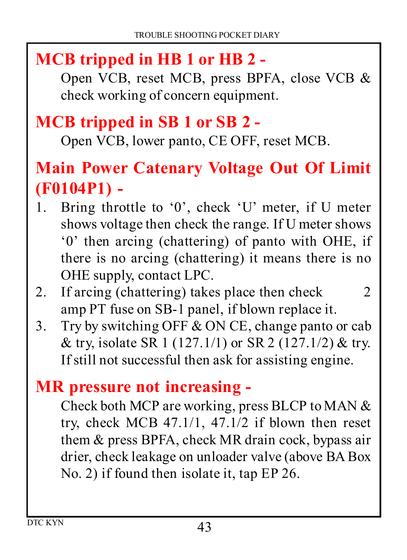### **MCB tripped in HB 1 or HB 2 -**

Open VCB, reset MCB, press BPFA, close VCB & check working of concern equipment.

#### **MCB tripped in SB 1 or SB 2 -**

Open VCB, lower panto, CE OFF, reset MCB.

#### **Main Power Catenary Voltage Out Of Limit (F0104P1) -**

- Bring throttle to '0', check 'U' meter, if U meter shows voltage then check the range. If U meter shows '0' then arcing (chattering) of panto with OHE, if there is no arcing (chattering) it means there is no OHE supply, contact LPC.
- 2. If arcing (chattering) takes place then check 2 amp PT fuse on SB-1 panel, if blown replace it.
- 3. Try by switching OFF  $&$  ON CE, change panto or cab & try, isolate SR 1 (127.1/1) or SR 2 (127.1/2) & try. If still not successful then ask for assisting engine.

#### **MR pressure not increasing -**

Check both MCP are working, press BLCP to MAN & try, check MCB 47.1/1, 47.1/2 if blown then reset them & press BPFA, check MR drain cock, bypass air drier, check leakage on unloader valve (above BA Box No. 2) if found then isolate it, tap EP 26.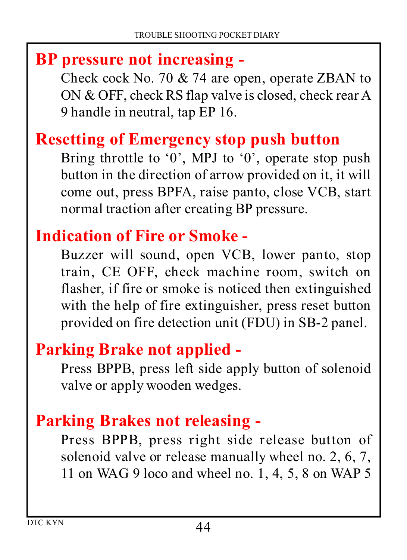#### **BP pressure not increasing -**

Check cock No. 70 & 74 are open, operate ZBAN to ON & OFF, check RS flap valve is closed, check rear A 9 handle in neutral, tap EP 16.

#### **Resetting of Emergency stop push button**

Bring throttle to '0', MPJ to '0', operate stop push button in the direction of arrow provided on it, it will come out, press BPFA, raise panto, close VCB, start normal traction after creating BP pressure.

#### **Indication of Fire or Smoke -**

Buzzer will sound, open VCB, lower panto, stop train, CE OFF, check machine room, switch on flasher, if fire or smoke is noticed then extinguished with the help of fire extinguisher, press reset button provided on fire detection unit (FDU) in SB-2 panel.

#### **Parking Brake not applied -**

Press BPPB, press left side apply button of solenoid valve or apply wooden wedges.

#### **Parking Brakes not releasing -**

Press BPPB, press right side release button of solenoid valve or release manually wheel no. 2, 6, 7, 11 on WAG 9 loco and wheel no. 1, 4, 5, 8 on WAP 5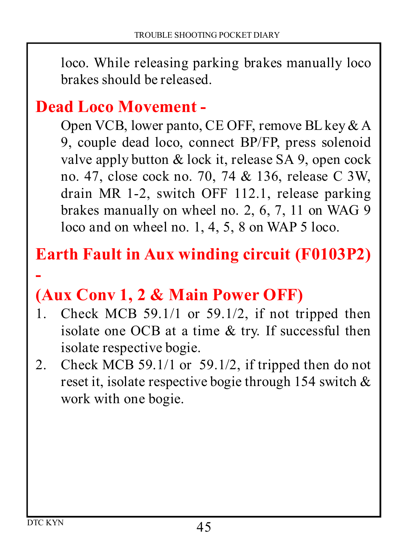loco. While releasing parking brakes manually loco brakes should be released.

#### **Dead Loco Movement -**

Open VCB, lower panto, CE OFF, remove BL key & A 9, couple dead loco, connect BP/FP, press solenoid valve apply button & lock it, release SA 9, open cock no. 47, close cock no. 70, 74 & 136, release C 3W, drain MR 1-2, switch OFF 112.1, release parking brakes manually on wheel no. 2, 6, 7, 11 on WAG 9 loco and on wheel no. 1, 4, 5, 8 on WAP 5 loco.

#### **Earth Fault in Aux winding circuit (F0103P2)**

### **(Aux Conv 1, 2 & Main Power OFF)**

- 1. Check MCB  $59.1/1$  or  $59.1/2$ , if not tripped then isolate one OCB at a time & try. If successful then isolate respective bogie.
- 2. Check MCB 59.1/1 or 59.1/2, if tripped then do not reset it, isolate respective bogie through 154 switch & work with one bogie.

**-**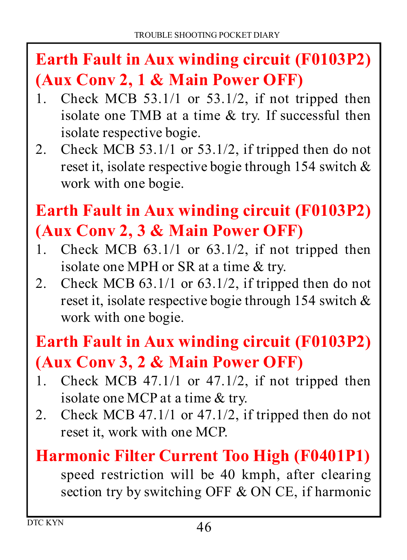# **Earth Fault in Aux winding circuit (F0103P2) (Aux Conv 2, 1 & Main Power OFF)**

- 1. Check MCB  $53.1/1$  or  $53.1/2$ , if not tripped then isolate one TMB at a time & try. If successful then isolate respective bogie.
- 2. Check MCB  $53.1/1$  or  $53.1/2$ , if tripped then do not reset it, isolate respective bogie through 154 switch & work with one bogie.

# **Earth Fault in Aux winding circuit (F0103P2) (Aux Conv 2, 3 & Main Power OFF)**

- 1. Check MCB  $63.1/1$  or  $63.1/2$ , if not tripped then isolate one MPH or SR at a time & try.
- 2. Check MCB  $63.1/1$  or  $63.1/2$ , if tripped then do not reset it, isolate respective bogie through 154 switch & work with one bogie.

# **Earth Fault in Aux winding circuit (F0103P2) (Aux Conv 3, 2 & Main Power OFF)**

- Check MCB 47.1/1 or 47.1/2, if not tripped then isolate one MCP at a time & try.
- Check MCB 47.1/1 or 47.1/2, if tripped then do not reset it, work with one MCP.

#### **Harmonic Filter Current Too High (F0401P1)**

speed restriction will be 40 kmph, after clearing section try by switching OFF & ON CE, if harmonic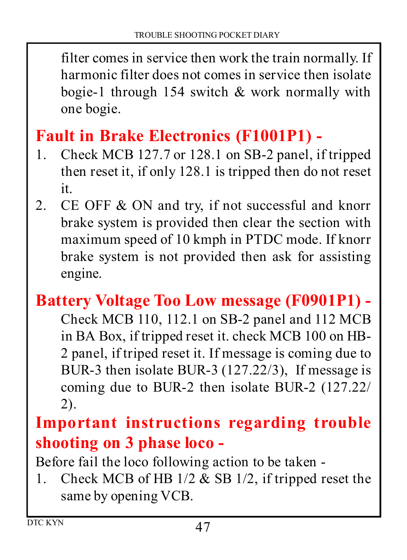filter comes in service then work the train normally. If harmonic filter does not comes in service then isolate bogie-1 through 154 switch & work normally with one bogie.

### **Fault in Brake Electronics (F1001P1) -**

- Check MCB 127.7 or 128.1 on SB-2 panel, if tripped then reset it, if only 128.1 is tripped then do not reset it.
- 2. CE OFF & ON and try, if not successful and knorr brake system is provided then clear the section with maximum speed of 10 kmph in PTDC mode. If knorr brake system is not provided then ask for assisting engine.

### **Battery Voltage Too Low message (F0901P1) -**

Check MCB 110, 112.1 on SB-2 panel and 112 MCB in BA Box, if tripped reset it. check MCB 100 on HB-2 panel, if triped reset it. If message is coming due to BUR-3 then isolate BUR-3 (127.22/3), If message is coming due to BUR-2 then isolate BUR-2 (127.22/ 2).

#### **Important instructions regarding trouble shooting on 3 phase loco -**

Before fail the loco following action to be taken -

1. Check MCB of HB  $1/2 \&$  SB  $1/2$ , if tripped reset the same by opening VCB.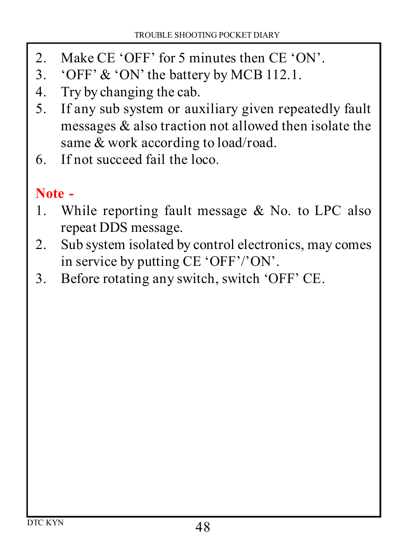- 2. Make CE 'OFF' for 5 minutes then CE 'ON'.<br>3. 'OFF'  $\&$  'ON' the battery by MCB 112.1.
- 'OFF' & 'ON' the battery by MCB 112.1.
- 4. Try by changing the cab.
- If any sub system or auxiliary given repeatedly fault messages & also traction not allowed then isolate the same & work according to load/road.
- If not succeed fail the loco.

#### **Note -**

- While reporting fault message & No. to LPC also repeat DDS message.
- 2. Sub system isolated by control electronics, may comes in service by putting CE 'OFF'/'ON'.
- Before rotating any switch, switch 'OFF' CE.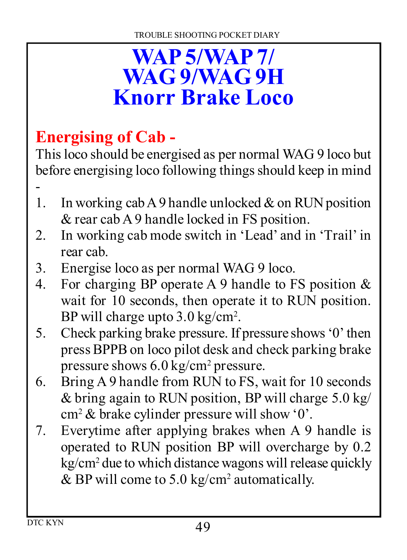# **WAP 5/WAP 7/ WAG 9/WAG 9H Knorr Brake Loco**

# **Energising of Cab -**

This loco should be energised as per normal WAG 9 loco but before energising loco following things should keep in mind -

- 1. In working cab A 9 handle unlocked  $\&$  on RUN position & rear cab A 9 handle locked in FS position.
- 2. In working cab mode switch in 'Lead' and in 'Trail' in rear cab.
- 3. Energise loco as per normal WAG 9 loco.
- 4. For charging BP operate A 9 handle to FS position & wait for 10 seconds, then operate it to RUN position. BP will charge upto 3.0 kg/cm<sup>2</sup>.
- 5. Check parking brake pressure. If pressure shows '0' then press BPPB on loco pilot desk and check parking brake pressure shows 6.0 kg/cm<sup>2</sup> pressure.
- 6. Bring A 9 handle from RUN to FS, wait for 10 seconds & bring again to RUN position, BP will charge 5.0 kg/ cm<sup>2</sup> & brake cylinder pressure will show '0'.
- 7. Everytime after applying brakes when A 9 handle is operated to RUN position BP will overcharge by 0.2 kg/cm<sup>2</sup> due to which distance wagons will release quickly & BP will come to 5.0 kg/cm<sup>2</sup> automatically.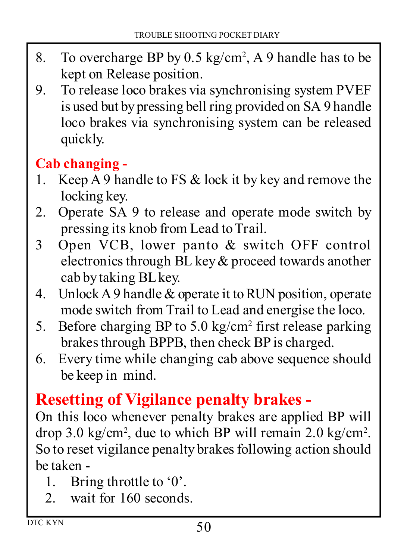- 8. To overcharge BP by  $0.5 \text{ kg/cm}^2$ , A 9 handle has to be kept on Release position.
- 9. To release loco brakes via synchronising system PVEF is used but by pressing bell ring provided on SA 9 handle loco brakes via synchronising system can be released quickly.

#### **Cab changing -**

- 1. Keep A 9 handle to FS & lock it by key and remove the locking key.
- 2. Operate SA 9 to release and operate mode switch by pressing its knob from Lead to Trail.
- 3 Open VCB, lower panto & switch OFF control electronics through BL key & proceed towards another cab by taking BL key.
- 4. Unlock A 9 handle & operate it to RUN position, operate mode switch from Trail to Lead and energise the loco.
- 5. Before charging BP to 5.0 kg/cm<sup>2</sup> first release parking brakes through BPPB, then check BP is charged.
- 6. Every time while changing cab above sequence should be keep in mind.

#### **Resetting of Vigilance penalty brakes -**

On this loco whenever penalty brakes are applied BP will drop 3.0 kg/cm<sup>2</sup> , due to which BP will remain 2.0 kg/cm<sup>2</sup> . So to reset vigilance penalty brakes following action should be taken -

- 1. Bring throttle to '0'.
- 2. wait for 160 seconds.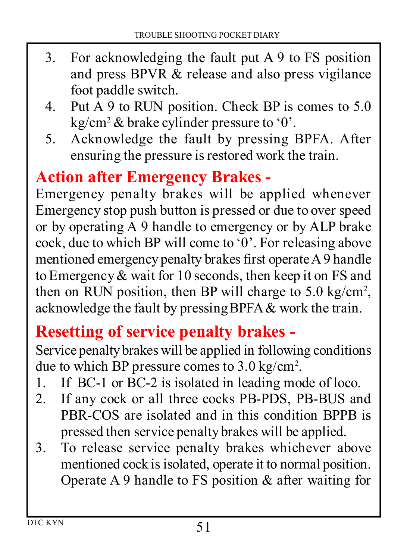- 3. For acknowledging the fault put A 9 to FS position and press BPVR & release and also press vigilance foot paddle switch.
- 4. Put A 9 to RUN position. Check BP is comes to 5.0 kg/cm<sup>2</sup> & brake cylinder pressure to '0'.
- 5. Acknowledge the fault by pressing BPFA. After ensuring the pressure is restored work the train.

#### **Action after Emergency Brakes -**

Emergency penalty brakes will be applied whenever Emergency stop push button is pressed or due to over speed or by operating A 9 handle to emergency or by ALP brake cock, due to which BP will come to '0'. For releasing above mentioned emergency penalty brakes first operate A 9 handle to Emergency & wait for 10 seconds, then keep it on FS and then on RUN position, then BP will charge to  $5.0 \text{ kg/cm}^2$ , acknowledge the fault by pressingBPFA & work the train.

#### **Resetting of service penalty brakes -**

Service penalty brakes will be applied in following conditions due to which BP pressure comes to 3.0 kg/cm<sup>2</sup> .

- 1. If BC-1 or BC-2 is isolated in leading mode of loco.
- 2. If any cock or all three cocks PB-PDS, PB-BUS and PBR-COS are isolated and in this condition BPPB is pressed then service penalty brakes will be applied.
- 3. To release service penalty brakes whichever above mentioned cock is isolated, operate it to normal position. Operate A 9 handle to FS position & after waiting for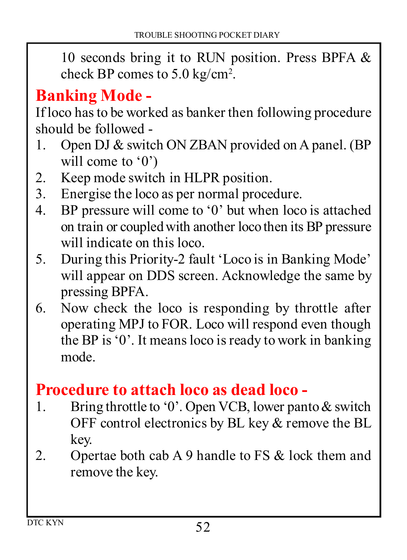10 seconds bring it to RUN position. Press BPFA & check BP comes to 5.0 kg/cm<sup>2</sup> .

#### **Banking Mode -**

If loco has to be worked as banker then following procedure should be followed -

- 1. Open DJ & switch ON ZBAN provided on A panel. (BP will come to '0')
- 2. Keep mode switch in HLPR position.<br>3. Energise the loco as per normal proce-
- Energise the loco as per normal procedure.
- 4. BP pressure will come to '0' but when loco is attached on train or coupled with another loco then its BP pressure will indicate on this loco.
- 5. During this Priority-2 fault 'Loco is in Banking Mode' will appear on DDS screen. Acknowledge the same by pressing BPFA.
- 6. Now check the loco is responding by throttle after operating MPJ to FOR. Loco will respond even though the BP is '0'. It means loco is ready to work in banking mode.

#### **Procedure to attach loco as dead loco -**

- 1. Bring throttle to '0'. Open VCB, lower panto & switch OFF control electronics by BL key & remove the BL key.
- 2. Opertae both cab A 9 handle to FS & lock them and remove the key.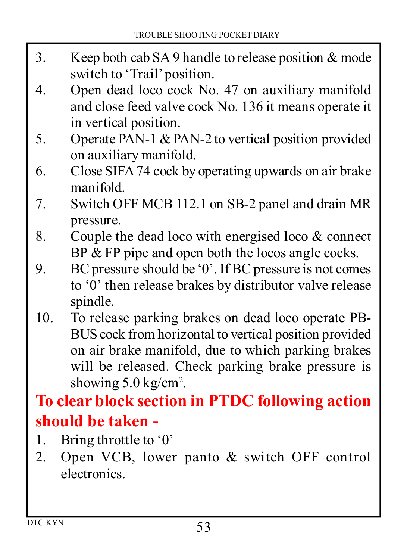- 3. Keep both cab SA 9 handle to release position & mode switch to 'Trail' position.
- 4. Open dead loco cock No. 47 on auxiliary manifold and close feed valve cock No. 136 it means operate it in vertical position.
- 5. Operate PAN-1 & PAN-2 to vertical position provided on auxiliary manifold.
- 6. Close SIFA 74 cock by operating upwards on air brake manifold.
- 7. Switch OFF MCB 112.1 on SB-2 panel and drain MR pressure.
- 8. Couple the dead loco with energised loco & connect BP & FP pipe and open both the locos angle cocks.
- 9. BC pressure should be '0'. If BC pressure is not comes to '0' then release brakes by distributor valve release spindle.
- 10. To release parking brakes on dead loco operate PB-BUS cock from horizontal to vertical position provided on air brake manifold, due to which parking brakes will be released. Check parking brake pressure is showing 5.0 kg/cm<sup>2</sup>.

#### **To clear block section in PTDC following action should be taken -**

- 1. Bring throttle to '0'
- 2. Open VCB, lower panto & switch OFF control electronics.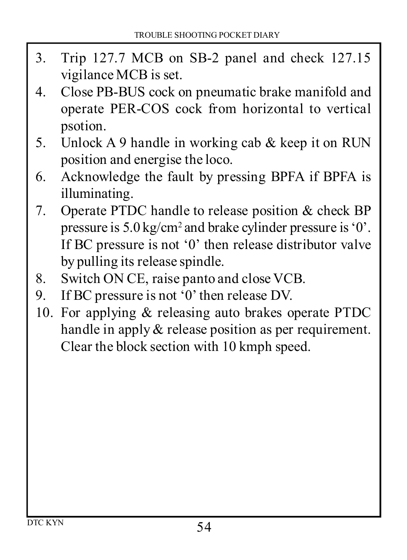- 3. Trip 127.7 MCB on SB-2 panel and check 127.15 vigilance MCB is set.
- 4. Close PB-BUS cock on pneumatic brake manifold and operate PER-COS cock from horizontal to vertical psotion.
- 5. Unlock A 9 handle in working cab & keep it on RUN position and energise the loco.
- 6. Acknowledge the fault by pressing BPFA if BPFA is illuminating.
- 7. Operate PTDC handle to release position & check BP pressure is 5.0 kg/cm<sup>2</sup> and brake cylinder pressure is '0'. If BC pressure is not '0' then release distributor valve by pulling its release spindle.
- 8. Switch ON CE, raise panto and close VCB.
- 9. If BC pressure is not '0' then release DV.
- 10. For applying & releasing auto brakes operate PTDC handle in apply  $\&$  release position as per requirement. Clear the block section with 10 kmph speed.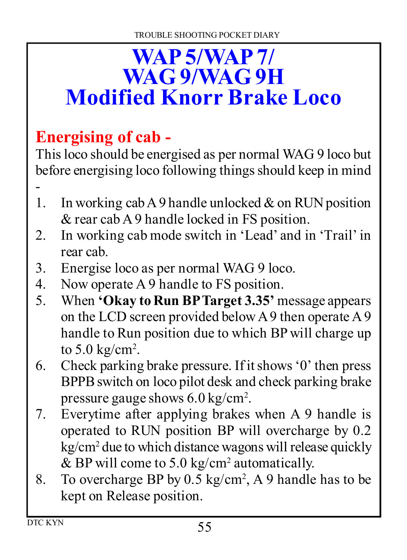# **WAP 5/WAP 7/ WAG 9/WAG 9H Modified Knorr Brake Loco**

# **Energising of cab -**

This loco should be energised as per normal WAG 9 loco but before energising loco following things should keep in mind -

- 1. In working cab A 9 handle unlocked  $\&$  on RUN position & rear cab A 9 handle locked in FS position.
- 2. In working cab mode switch in 'Lead' and in 'Trail' in rear cab.
- 3. Energise loco as per normal WAG 9 loco.
- 4. Now operate A 9 handle to FS position.
- 5. When **'Okay to Run BP Target 3.35'** message appears on the LCD screen provided below A 9 then operate A 9 handle to Run position due to which BP will charge up to  $5.0 \text{ kg/cm}^2$ .
- 6. Check parking brake pressure. If it shows '0' then press BPPB switch on loco pilot desk and check parking brake pressure gauge shows 6.0 kg/cm<sup>2</sup> .
- 7. Everytime after applying brakes when A 9 handle is operated to RUN position BP will overcharge by 0.2 kg/cm<sup>2</sup> due to which distance wagons will release quickly & BP will come to 5.0 kg/cm<sup>2</sup> automatically.
- 8. To overcharge BP by 0.5 kg/cm<sup>2</sup> , A 9 handle has to be kept on Release position.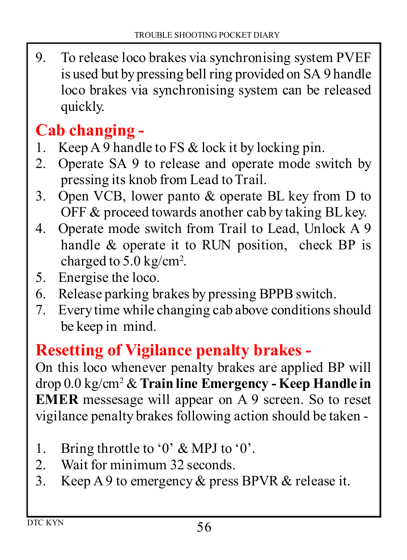9. To release loco brakes via synchronising system PVEF is used but by pressing bell ring provided on SA 9 handle loco brakes via synchronising system can be released quickly.

#### **Cab changing -**

- 1. Keep  $\overline{AB}$  handle to FS  $\&$  lock it by locking pin.
- 2. Operate SA 9 to release and operate mode switch by pressing its knob from Lead to Trail.
- 3. Open VCB, lower panto & operate BL key from D to OFF & proceed towards another cab by taking BL key.
- 4. Operate mode switch from Trail to Lead, Unlock A 9 handle & operate it to RUN position, check BP is charged to 5.0 kg/cm<sup>2</sup> .
- 5. Energise the loco.
- 6. Release parking brakes by pressing BPPB switch.
- 7. Every time while changing cab above conditions should be keep in mind.

#### **Resetting of Vigilance penalty brakes -**

On this loco whenever penalty brakes are applied BP will drop 0.0 kg/cm<sup>2</sup> & **Train line Emergency - Keep Handle in EMER** messesage will appear on A 9 screen. So to reset vigilance penalty brakes following action should be taken -

- 1. Bring throttle to '0' & MPJ to '0'.
- 2. Wait for minimum 32 seconds.
- 3. Keep A 9 to emergency & press BPVR & release it.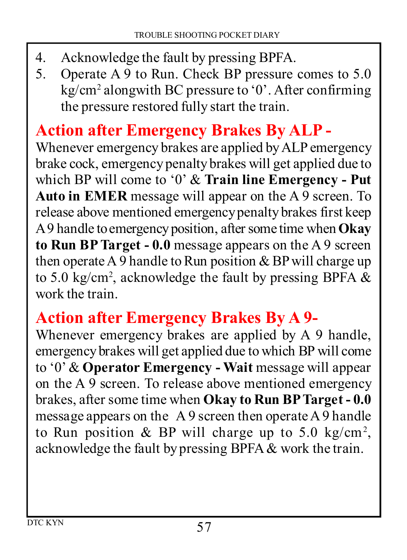- 4. Acknowledge the fault by pressing BPFA.<br>5. Operate A 9 to Run, Check BP pressure.
- 5. Operate A 9 to Run. Check BP pressure comes to 5.0 kg/cm<sup>2</sup> alongwith BC pressure to '0'. After confirming the pressure restored fully start the train.

# **Action after Emergency Brakes By ALP -**

Whenever emergency brakes are applied by ALP emergency brake cock, emergency penalty brakes will get applied due to which BP will come to '0' & **Train line Emergency - Put Auto in EMER** message will appear on the A 9 screen. To release above mentioned emergency penalty brakes first keep A 9 handle to emergency position, after some time when **Okay to Run BP Target - 0.0** message appears on the A 9 screen then operate A 9 handle to Run position  $&$  BP will charge up to 5.0 kg/cm<sup>2</sup>, acknowledge the fault by pressing BPFA  $\&$ work the train.

#### **Action after Emergency Brakes By A 9-**

Whenever emergency brakes are applied by A 9 handle, emergency brakes will get applied due to which BP will come to '0' & **Operator Emergency - Wait** message will appear on the A 9 screen. To release above mentioned emergency brakes, after some time when **Okay to Run BP Target - 0.0** message appears on the A 9 screen then operate A 9 handle to Run position & BP will charge up to 5.0 kg/cm<sup>2</sup>, acknowledge the fault by pressing BPFA & work the train.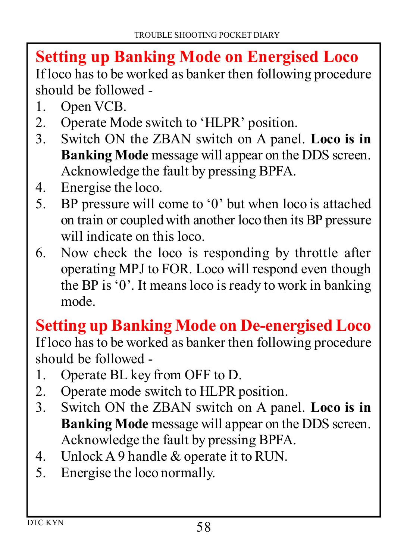#### **Setting up Banking Mode on Energised Loco** If loco has to be worked as banker then following procedure should be followed -

- 1. Open VCB.
- 2. Operate Mode switch to 'HLPR' position.<br>3. Switch ON the ZBAN switch on A pane
- 3. Switch ON the ZBAN switch on A panel. **Loco is in Banking Mode** message will appear on the DDS screen. Acknowledge the fault by pressing BPFA.
- 4. Energise the loco.<br>5 BP pressure will c
- 5. BP pressure will come to '0' but when loco is attached on train or coupled with another loco then its BP pressure will indicate on this loco.
- 6. Now check the loco is responding by throttle after operating MPJ to FOR. Loco will respond even though the BP is '0'. It means loco is ready to work in banking mode.

#### **Setting up Banking Mode on De-energised Loco**

If loco has to be worked as banker then following procedure should be followed -

- 1. Operate BL key from OFF to D.
- 2. Operate mode switch to HLPR position.<br>3. Switch ON the ZBAN switch on A pan
- 3. Switch ON the ZBAN switch on A panel. **Loco is in Banking Mode** message will appear on the DDS screen. Acknowledge the fault by pressing BPFA.
- 4. Unlock A 9 handle & operate it to RUN.
- 5. Energise the loco normally.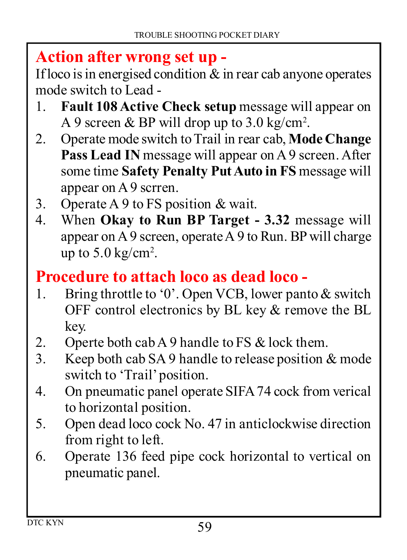#### **Action after wrong set up -**

If loco is in energised condition  $\&$  in rear cab anyone operates mode switch to Lead -

- 1. **Fault 108 Active Check setup** message will appear on A 9 screen & BP will drop up to 3.0 kg/cm<sup>2</sup>.
- 2. Operate mode switch to Trail in rear cab, **Mode Change Pass Lead IN** message will appear on A 9 screen. After some time **Safety Penalty Put Auto in FS** message will appear on A 9 scrren.
- 3. Operate A 9 to FS position & wait.
- 4. When **Okay to Run BP Target 3.32** message will appear on A 9 screen, operate A 9 to Run. BP will charge up to  $5.0 \text{ kg/cm}^2$ .

#### **Procedure to attach loco as dead loco -**

- 1. Bring throttle to '0'. Open VCB, lower panto & switch OFF control electronics by BL key & remove the BL key.
- 2. Operte both cab A 9 handle to FS  $\&$  lock them.<br>3. Keep both cab SA 9 handle to release position  $\&$
- Keep both cab SA 9 handle to release position  $&$  mode switch to 'Trail' position.
- 4. On pneumatic panel operate SIFA 74 cock from verical to horizontal position.
- 5. Open dead loco cock No. 47 in anticlockwise direction from right to left.
- 6. Operate 136 feed pipe cock horizontal to vertical on pneumatic panel.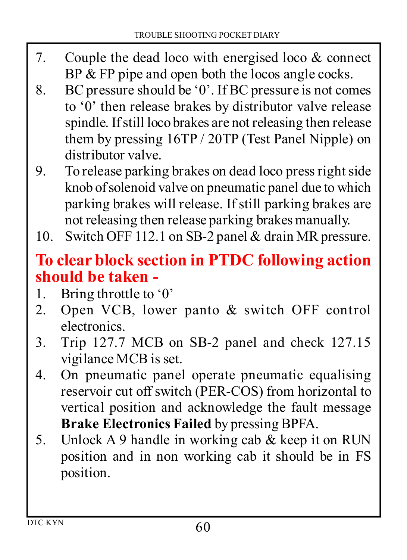- 7. Couple the dead loco with energised loco & connect BP & FP pipe and open both the locos angle cocks.
- 8. BC pressure should be '0'. If BC pressure is not comes to '0' then release brakes by distributor valve release spindle. If still loco brakes are not releasing then release them by pressing 16TP / 20TP (Test Panel Nipple) on distributor valve.
- 9. To release parking brakes on dead loco press right side knob of solenoid valve on pneumatic panel due to which parking brakes will release. If still parking brakes are not releasing then release parking brakes manually.
- 10. Switch OFF 112.1 on SB-2 panel & drain MR pressure.

#### **To clear block section in PTDC following action should be taken -**

- 1. Bring throttle to '0'
- 2. Open VCB, lower panto & switch OFF control electronics.
- 3. Trip 127.7 MCB on SB-2 panel and check 127.15 vigilance MCB is set.
- 4. On pneumatic panel operate pneumatic equalising reservoir cut off switch (PER-COS) from horizontal to vertical position and acknowledge the fault message **Brake Electronics Failed** by pressing BPFA.
- 5. Unlock A 9 handle in working cab & keep it on RUN position and in non working cab it should be in FS position.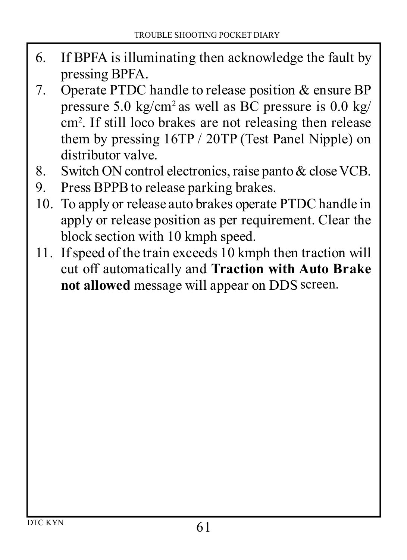- 6. If BPFA is illuminating then acknowledge the fault by pressing BPFA.
- 7. Operate PTDC handle to release position & ensure BP pressure 5.0 kg/cm<sup>2</sup> as well as BC pressure is  $0.0$  kg/ cm<sup>2</sup> . If still loco brakes are not releasing then release them by pressing 16TP / 20TP (Test Panel Nipple) on distributor valve.
- 8. Switch ON control electronics, raise panto & close VCB.
- 9. Press BPPB to release parking brakes.
- 10. To apply or release auto brakes operate PTDC handle in apply or release position as per requirement. Clear the block section with 10 kmph speed.
- 11. If speed of the train exceeds 10 kmph then traction will cut off automatically and **Traction with Auto Brake not allowed** message will appear on DDS screen.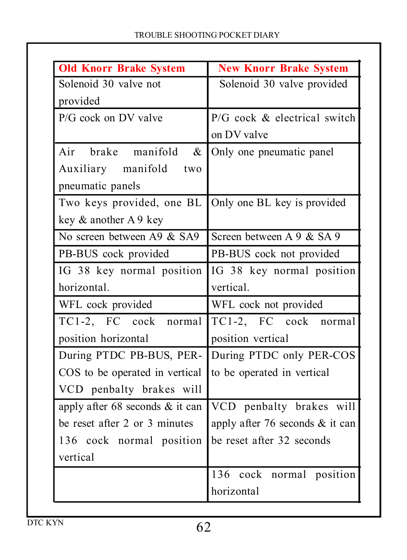| <b>Old Knorr Brake System</b>                         | <b>New Knorr Brake System</b>         |  |
|-------------------------------------------------------|---------------------------------------|--|
| Solenoid 30 valve not                                 | Solenoid 30 valve provided            |  |
| provided                                              |                                       |  |
| $P/G$ cock on DV valve                                | $P/G$ cock $\&$ electrical switch     |  |
|                                                       | on DV valve                           |  |
| Air brake manifold<br>&                               | Only one pneumatic panel              |  |
| Auxiliary manifold two                                |                                       |  |
| pneumatic panels                                      |                                       |  |
| Two keys provided, one BL Only one BL key is provided |                                       |  |
| key & another A 9 key                                 |                                       |  |
| No screen between A9 & SA9                            | Screen between $A \, 9 \, \& SA \, 9$ |  |
| PB-BUS cock provided                                  | PB-BUS cock not provided              |  |
| IG 38 key normal position                             | IG 38 key normal position             |  |
| horizontal.                                           | vertical                              |  |
| WFL cock provided                                     | WFL cock not provided                 |  |
| TC1-2, FC cock normal                                 | TC1-2, FC cock normal                 |  |
| position horizontal                                   | position vertical                     |  |
| During PTDC PB-BUS, PER-                              | During PTDC only PER-COS              |  |
| COS to be operated in vertical                        | to be operated in vertical            |  |
| VCD penbalty brakes will                              |                                       |  |
| apply after $68$ seconds $\&$ it can                  | VCD penbalty brakes will              |  |
| be reset after 2 or 3 minutes                         | apply after 76 seconds $\&$ it can    |  |
| 136 cock normal position                              | be reset after 32 seconds             |  |
| vertical                                              |                                       |  |
|                                                       | $\overline{136}$ cock normal position |  |
|                                                       | horizontal                            |  |